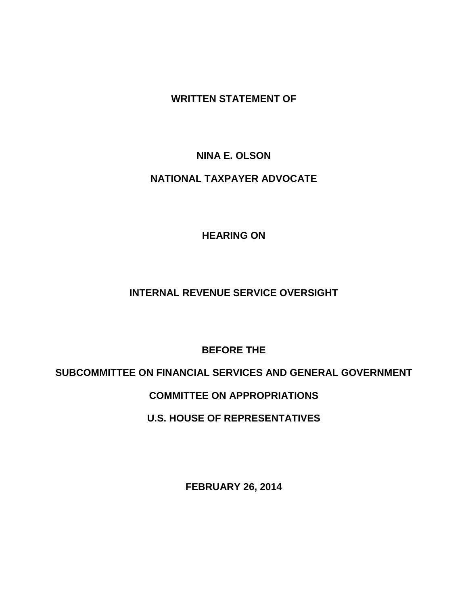**WRITTEN STATEMENT OF**

# **NINA E. OLSON**

# **NATIONAL TAXPAYER ADVOCATE**

**HEARING ON**

# **INTERNAL REVENUE SERVICE OVERSIGHT**

**BEFORE THE**

# **SUBCOMMITTEE ON FINANCIAL SERVICES AND GENERAL GOVERNMENT**

# **COMMITTEE ON APPROPRIATIONS**

# **U.S. HOUSE OF REPRESENTATIVES**

**FEBRUARY 26, 2014**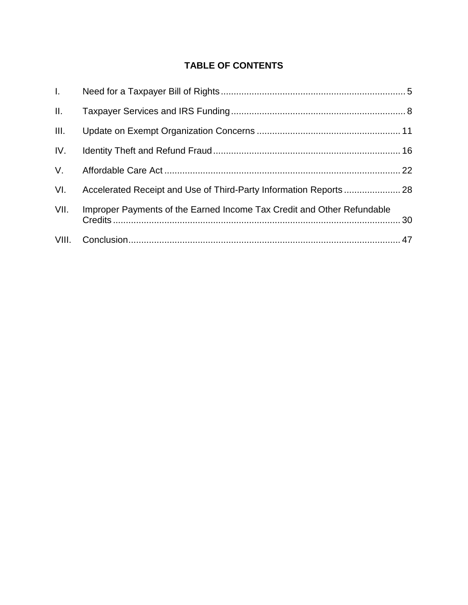# **TABLE OF CONTENTS**

| $L = -$     |                                                                        |  |
|-------------|------------------------------------------------------------------------|--|
| II.         |                                                                        |  |
| III.        |                                                                        |  |
|             |                                                                        |  |
| $V_{\rm L}$ |                                                                        |  |
| VI.         |                                                                        |  |
| VII.        | Improper Payments of the Earned Income Tax Credit and Other Refundable |  |
|             |                                                                        |  |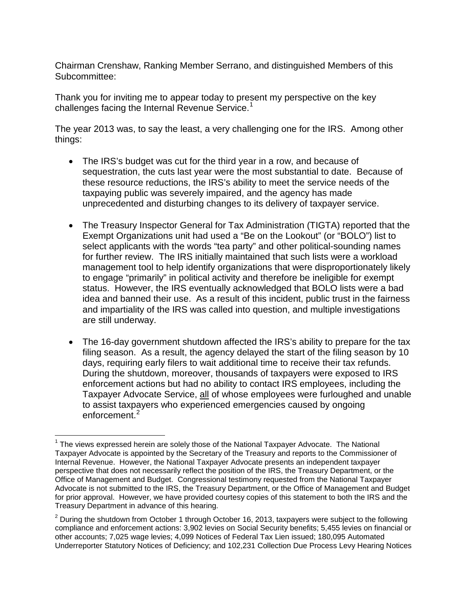Chairman Crenshaw, Ranking Member Serrano, and distinguished Members of this Subcommittee:

Thank you for inviting me to appear today to present my perspective on the key challenges facing the Internal Revenue Service.<sup>[1](#page-2-0)</sup>

The year 2013 was, to say the least, a very challenging one for the IRS. Among other things:

- The IRS's budget was cut for the third year in a row, and because of sequestration, the cuts last year were the most substantial to date. Because of these resource reductions, the IRS's ability to meet the service needs of the taxpaying public was severely impaired, and the agency has made unprecedented and disturbing changes to its delivery of taxpayer service.
- The Treasury Inspector General for Tax Administration (TIGTA) reported that the Exempt Organizations unit had used a "Be on the Lookout" (or "BOLO") list to select applicants with the words "tea party" and other political-sounding names for further review. The IRS initially maintained that such lists were a workload management tool to help identify organizations that were disproportionately likely to engage "primarily" in political activity and therefore be ineligible for exempt status. However, the IRS eventually acknowledged that BOLO lists were a bad idea and banned their use. As a result of this incident, public trust in the fairness and impartiality of the IRS was called into question, and multiple investigations are still underway.
- The 16-day government shutdown affected the IRS's ability to prepare for the tax filing season. As a result, the agency delayed the start of the filing season by 10 days, requiring early filers to wait additional time to receive their tax refunds. During the shutdown, moreover, thousands of taxpayers were exposed to IRS enforcement actions but had no ability to contact IRS employees, including the Taxpayer Advocate Service, all of whose employees were furloughed and unable to assist taxpayers who experienced emergencies caused by ongoing enforcement.<sup>[2](#page-2-1)</sup>

<span id="page-2-0"></span> $1$  The views expressed herein are solely those of the National Taxpayer Advocate. The National Taxpayer Advocate is appointed by the Secretary of the Treasury and reports to the Commissioner of Internal Revenue. However, the National Taxpayer Advocate presents an independent taxpayer perspective that does not necessarily reflect the position of the IRS, the Treasury Department, or the Office of Management and Budget. Congressional testimony requested from the National Taxpayer Advocate is not submitted to the IRS, the Treasury Department, or the Office of Management and Budget for prior approval. However, we have provided courtesy copies of this statement to both the IRS and the Treasury Department in advance of this hearing.

<span id="page-2-1"></span> $2$  During the shutdown from October 1 through October 16, 2013, taxpayers were subject to the following compliance and enforcement actions: 3,902 levies on Social Security benefits; 5,455 levies on financial or other accounts; 7,025 wage levies; 4,099 Notices of Federal Tax Lien issued; 180,095 Automated Underreporter Statutory Notices of Deficiency; and 102,231 Collection Due Process Levy Hearing Notices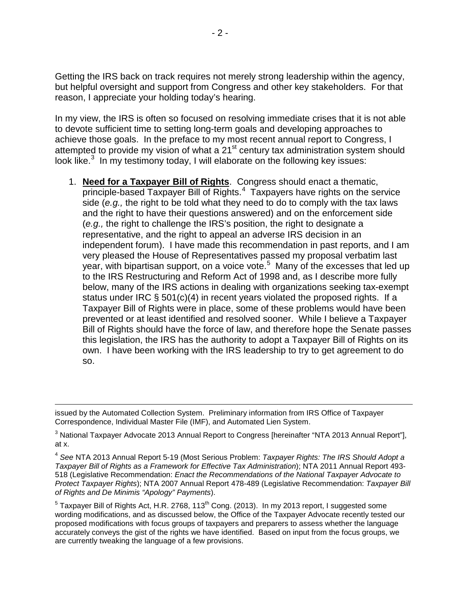Getting the IRS back on track requires not merely strong leadership within the agency, but helpful oversight and support from Congress and other key stakeholders. For that reason, I appreciate your holding today's hearing.

In my view, the IRS is often so focused on resolving immediate crises that it is not able to devote sufficient time to setting long-term goals and developing approaches to achieve those goals. In the preface to my most recent annual report to Congress, I attempted to provide my vision of what a 21<sup>st</sup> century tax administration system should look like.<sup>[3](#page-3-0)</sup> In my testimony today, I will elaborate on the following key issues:

1. **Need for a Taxpayer Bill of Rights**. Congress should enact a thematic, principle-based Taxpayer Bill of Rights.<sup>[4](#page-3-1)</sup> Taxpayers have rights on the service side (*e.g.,* the right to be told what they need to do to comply with the tax laws and the right to have their questions answered) and on the enforcement side (*e.g.,* the right to challenge the IRS's position, the right to designate a representative, and the right to appeal an adverse IRS decision in an independent forum). I have made this recommendation in past reports, and I am very pleased the House of Representatives passed my proposal verbatim last year, with bipartisan support, on a voice vote.<sup>[5](#page-3-2)</sup> Many of the excesses that led up to the IRS Restructuring and Reform Act of 1998 and, as I describe more fully below, many of the IRS actions in dealing with organizations seeking tax-exempt status under IRC § 501(c)(4) in recent years violated the proposed rights. If a Taxpayer Bill of Rights were in place, some of these problems would have been prevented or at least identified and resolved sooner. While I believe a Taxpayer Bill of Rights should have the force of law, and therefore hope the Senate passes this legislation, the IRS has the authority to adopt a Taxpayer Bill of Rights on its own. I have been working with the IRS leadership to try to get agreement to do so.

 $\overline{a}$ 

issued by the Automated Collection System. Preliminary information from IRS Office of Taxpayer Correspondence, Individual Master File (IMF), and Automated Lien System.

<span id="page-3-0"></span><sup>&</sup>lt;sup>3</sup> National Taxpayer Advocate 2013 Annual Report to Congress [hereinafter "NTA 2013 Annual Report"], at x.

<span id="page-3-1"></span><sup>4</sup> *See* NTA 2013 Annual Report 5-19 (Most Serious Problem: *Taxpayer Rights: The IRS Should Adopt a Taxpayer Bill of Rights as a Framework for Effective Tax Administration*); NTA 2011 Annual Report 493- 518 (Legislative Recommendation: *Enact the Recommendations of the National Taxpayer Advocate to Protect Taxpayer Rights*); NTA 2007 Annual Report 478-489 (Legislative Recommendation: *Taxpayer Bill of Rights and De Minimis "Apology" Payments*).

<span id="page-3-2"></span> $5$  Taxpayer Bill of Rights Act, H.R. 2768, 113<sup>th</sup> Cong. (2013). In my 2013 report, I suggested some wording modifications, and as discussed below, the Office of the Taxpayer Advocate recently tested our proposed modifications with focus groups of taxpayers and preparers to assess whether the language accurately conveys the gist of the rights we have identified. Based on input from the focus groups, we are currently tweaking the language of a few provisions.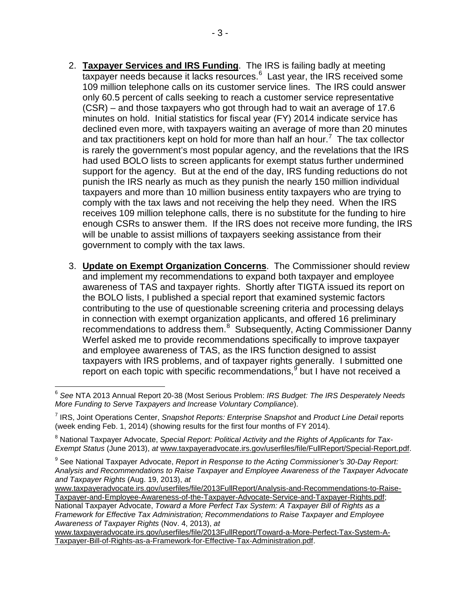- 2. **Taxpayer Services and IRS Funding**. The IRS is failing badly at meeting taxpayer needs because it lacks resources.<sup>[6](#page-4-0)</sup> Last year, the IRS received some 109 million telephone calls on its customer service lines. The IRS could answer only 60.5 percent of calls seeking to reach a customer service representative (CSR) – and those taxpayers who got through had to wait an average of 17.6 minutes on hold. Initial statistics for fiscal year (FY) 2014 indicate service has declined even more, with taxpayers waiting an average of more than 20 minutes and tax practitioners kept on hold for more than half an hour.<sup>[7](#page-4-1)</sup> The tax collector is rarely the government's most popular agency, and the revelations that the IRS had used BOLO lists to screen applicants for exempt status further undermined support for the agency. But at the end of the day, IRS funding reductions do not punish the IRS nearly as much as they punish the nearly 150 million individual taxpayers and more than 10 million business entity taxpayers who are trying to comply with the tax laws and not receiving the help they need. When the IRS receives 109 million telephone calls, there is no substitute for the funding to hire enough CSRs to answer them. If the IRS does not receive more funding, the IRS will be unable to assist millions of taxpayers seeking assistance from their government to comply with the tax laws.
- 3. **Update on Exempt Organization Concerns**. The Commissioner should review and implement my recommendations to expand both taxpayer and employee awareness of TAS and taxpayer rights. Shortly after TIGTA issued its report on the BOLO lists, I published a special report that examined systemic factors contributing to the use of questionable screening criteria and processing delays in connection with exempt organization applicants, and offered 16 preliminary recommendations to address them.<sup>[8](#page-4-2)</sup> Subsequently, Acting Commissioner Danny Werfel asked me to provide recommendations specifically to improve taxpayer and employee awareness of TAS, as the IRS function designed to assist taxpayers with IRS problems, and of taxpayer rights generally. I submitted one report on each topic with specific recommendations,  $9$  but I have not received a

[www.taxpayeradvocate.irs.gov/userfiles/file/2013FullReport/Toward-a-More-Perfect-Tax-System-A-](http://www.taxpayeradvocate.irs.gov/userfiles/file/2013FullReport/Toward-a-More-Perfect-Tax-System-A-Taxpayer-Bill-of-Rights-as-a-Framework-for-Effective-Tax-Administration.pdf)[Taxpayer-Bill-of-Rights-as-a-Framework-for-Effective-Tax-Administration.pdf.](http://www.taxpayeradvocate.irs.gov/userfiles/file/2013FullReport/Toward-a-More-Perfect-Tax-System-A-Taxpayer-Bill-of-Rights-as-a-Framework-for-Effective-Tax-Administration.pdf)

<span id="page-4-0"></span><sup>6</sup> *See* NTA 2013 Annual Report 20-38 (Most Serious Problem: *IRS Budget: The IRS Desperately Needs More Funding to Serve Taxpayers and Increase Voluntary Compliance*).

<span id="page-4-1"></span><sup>7</sup> IRS, Joint Operations Center, *Snapshot Reports: Enterprise Snapshot* and *Product Line Detail* reports (week ending Feb. 1, 2014) (showing results for the first four months of FY 2014).

<span id="page-4-2"></span><sup>&</sup>lt;sup>8</sup> National Taxpayer Advocate, Special Report: Political Activity and the Rights of Applicants for Tax-*Exempt Status* (June 2013), *at* [www.taxpayeradvocate.irs.gov/userfiles/file/FullReport/Special-Report.pdf.](http://www.taxpayeradvocate.irs.gov/userfiles/file/FullReport/Special-Report.pdf)

<span id="page-4-3"></span><sup>9</sup> See National Taxpayer Advocate, *Report in Response to the Acting Commissioner's 30-Day Report: Analysis and Recommendations to Raise Taxpayer and Employee Awareness of the Taxpayer Advocate and Taxpayer Rights* (Aug. 19, 2013), *at*

[www.taxpayeradvocate.irs.gov/userfiles/file/2013FullReport/Analysis-and-Recommendations-to-Raise-](http://www.taxpayeradvocate.irs.gov/userfiles/file/2013FullReport/Analysis-and-Recommendations-to-Raise-Taxpayer-and-Employee-Awareness-of-the-Taxpayer-Advocate-Service-and-Taxpayer-Rights.pdf)[Taxpayer-and-Employee-Awareness-of-the-Taxpayer-Advocate-Service-and-Taxpayer-Rights.pdf;](http://www.taxpayeradvocate.irs.gov/userfiles/file/2013FullReport/Analysis-and-Recommendations-to-Raise-Taxpayer-and-Employee-Awareness-of-the-Taxpayer-Advocate-Service-and-Taxpayer-Rights.pdf)

National Taxpayer Advocate, *Toward a More Perfect Tax System: A Taxpayer Bill of Rights as a Framework for Effective Tax Administration; Recommendations to Raise Taxpayer and Employee Awareness of Taxpayer Rights* (Nov. 4, 2013), *at*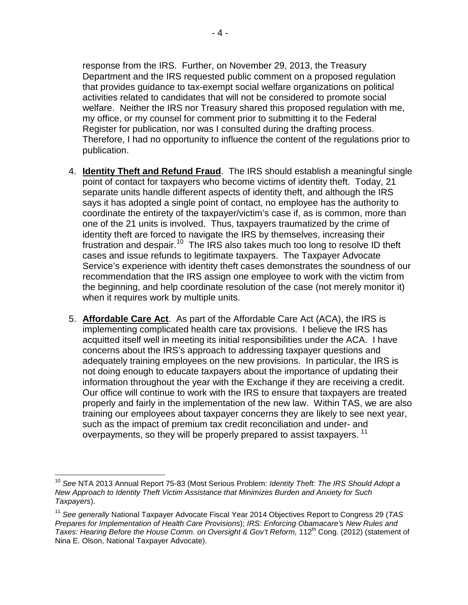response from the IRS. Further, on November 29, 2013, the Treasury Department and the IRS requested public comment on a proposed regulation that provides guidance to tax-exempt social welfare organizations on political activities related to candidates that will not be considered to promote social welfare. Neither the IRS nor Treasury shared this proposed regulation with me, my office, or my counsel for comment prior to submitting it to the Federal Register for publication, nor was I consulted during the drafting process. Therefore, I had no opportunity to influence the content of the regulations prior to publication.

- 4. **Identity Theft and Refund Fraud**. The IRS should establish a meaningful single point of contact for taxpayers who become victims of identity theft. Today, 21 separate units handle different aspects of identity theft, and although the IRS says it has adopted a single point of contact, no employee has the authority to coordinate the entirety of the taxpayer/victim's case if, as is common, more than one of the 21 units is involved. Thus, taxpayers traumatized by the crime of identity theft are forced to navigate the IRS by themselves, increasing their frustration and despair.<sup>[10](#page-5-0)</sup> The IRS also takes much too long to resolve ID theft cases and issue refunds to legitimate taxpayers. The Taxpayer Advocate Service's experience with identity theft cases demonstrates the soundness of our recommendation that the IRS assign one employee to work with the victim from the beginning, and help coordinate resolution of the case (not merely monitor it) when it requires work by multiple units.
- 5. **Affordable Care Act**. As part of the Affordable Care Act (ACA), the IRS is implementing complicated health care tax provisions. I believe the IRS has acquitted itself well in meeting its initial responsibilities under the ACA. I have concerns about the IRS's approach to addressing taxpayer questions and adequately training employees on the new provisions. In particular, the IRS is not doing enough to educate taxpayers about the importance of updating their information throughout the year with the Exchange if they are receiving a credit. Our office will continue to work with the IRS to ensure that taxpayers are treated properly and fairly in the implementation of the new law. Within TAS, we are also training our employees about taxpayer concerns they are likely to see next year, such as the impact of premium tax credit reconciliation and under- and overpayments, so they will be properly prepared to assist taxpayers.<sup>[11](#page-5-1)</sup>

<span id="page-5-0"></span><sup>10</sup> *See* NTA 2013 Annual Report 75-83 (Most Serious Problem: *Identity Theft: The IRS Should Adopt a New Approach to Identity Theft Victim Assistance that Minimizes Burden and Anxiety for Such Taxpayers*).

<span id="page-5-1"></span><sup>11</sup> *See generally* National Taxpayer Advocate Fiscal Year 2014 Objectives Report to Congress 29 (*TAS [Prepares for Implementation of Health Care Provisions](http://www.taxpayeradvocate.irs.gov/userfiles/file/FullReport/TAS-Prepares-for-Implementation-of-Health-Care-Provisions.pdf)*); *IRS: Enforcing Obamacare's New Rules and Taxes: Hearing Before the House Comm. on Oversight & Gov't Reform, 112<sup>th</sup> Cong. (2012) (statement of* Nina E. Olson, National Taxpayer Advocate).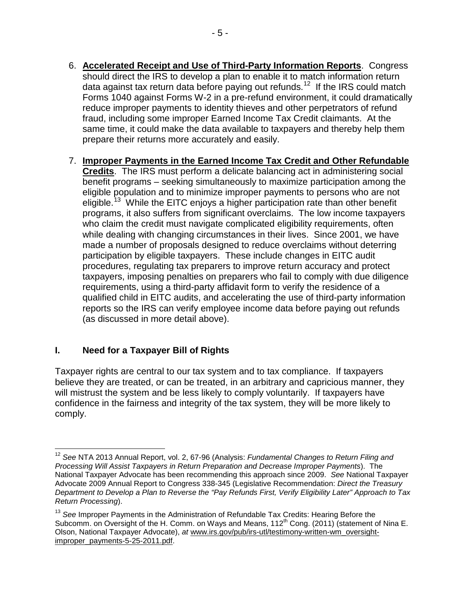- 6. **Accelerated Receipt and Use of Third-Party Information Reports**. Congress should direct the IRS to develop a plan to enable it to match information return data against tax return data before paying out refunds.<sup>[12](#page-6-1)</sup> If the IRS could match Forms 1040 against Forms W-2 in a pre-refund environment, it could dramatically reduce improper payments to identity thieves and other perpetrators of refund fraud, including some improper Earned Income Tax Credit claimants. At the same time, it could make the data available to taxpayers and thereby help them prepare their returns more accurately and easily.
- 7. **Improper Payments in the Earned Income Tax Credit and Other Refundable Credits**. The IRS must perform a delicate balancing act in administering social benefit programs – seeking simultaneously to maximize participation among the eligible population and to minimize improper payments to persons who are not eligible.<sup>[13](#page-6-2)</sup> While the EITC enjoys a higher participation rate than other benefit programs, it also suffers from significant overclaims. The low income taxpayers who claim the credit must navigate complicated eligibility requirements, often while dealing with changing circumstances in their lives. Since 2001, we have made a number of proposals designed to reduce overclaims without deterring participation by eligible taxpayers. These include changes in EITC audit procedures, regulating tax preparers to improve return accuracy and protect taxpayers, imposing penalties on preparers who fail to comply with due diligence requirements, using a third-party affidavit form to verify the residence of a qualified child in EITC audits, and accelerating the use of third-party information reports so the IRS can verify employee income data before paying out refunds (as discussed in more detail above).

# <span id="page-6-0"></span>**I. Need for a Taxpayer Bill of Rights**

Taxpayer rights are central to our tax system and to tax compliance. If taxpayers believe they are treated, or can be treated, in an arbitrary and capricious manner, they will mistrust the system and be less likely to comply voluntarily. If taxpayers have confidence in the fairness and integrity of the tax system, they will be more likely to comply.

<span id="page-6-1"></span><sup>12</sup> *See* NTA 2013 Annual Report, vol. 2, 67-96 (Analysis: *Fundamental Changes to Return Filing and Processing Will Assist Taxpayers in Return Preparation and Decrease Improper Payments*). The National Taxpayer Advocate has been recommending this approach since 2009. *See* National Taxpayer Advocate 2009 Annual Report to Congress 338-345 (Legislative Recommendation: *Direct the Treasury Department to Develop a Plan to Reverse the "Pay Refunds First, Verify Eligibility Later" Approach to Tax Return Processing*).

<span id="page-6-2"></span><sup>13</sup> *See* Improper Payments in the Administration of Refundable Tax Credits: Hearing Before the Subcomm. on Oversight of the H. Comm. on Ways and Means, 112<sup>th</sup> Cong. (2011) (statement of Nina E. Olson, National Taxpayer Advocate), *at* [www.irs.gov/pub/irs-utl/testimony-written-wm\\_oversight](http://www.irs.gov/pub/irs-utl/testimony-written-wm_oversight-improper_payments-5-25-2011.pdf)[improper\\_payments-5-25-2011.pdf.](http://www.irs.gov/pub/irs-utl/testimony-written-wm_oversight-improper_payments-5-25-2011.pdf)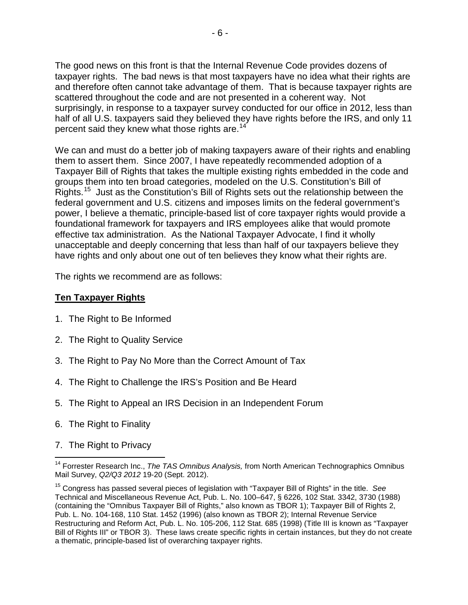The good news on this front is that the Internal Revenue Code provides dozens of taxpayer rights. The bad news is that most taxpayers have no idea what their rights are and therefore often cannot take advantage of them. That is because taxpayer rights are scattered throughout the code and are not presented in a coherent way. Not surprisingly, in response to a taxpayer survey conducted for our office in 2012, less than half of all U.S. taxpayers said they believed they have rights before the IRS, and only 11 percent said they knew what those rights are.<sup>[14](#page-7-0)</sup>

We can and must do a better job of making taxpayers aware of their rights and enabling them to assert them. Since 2007, I have repeatedly recommended adoption of a Taxpayer Bill of Rights that takes the multiple existing rights embedded in the code and groups them into ten broad categories, modeled on the U.S. Constitution's Bill of Rights.<sup>15</sup> Just as the Constitution's Bill of Rights sets out the relationship between the federal government and U.S. citizens and imposes limits on the federal government's power, I believe a thematic, principle-based list of core taxpayer rights would provide a foundational framework for taxpayers and IRS employees alike that would promote effective tax administration. As the National Taxpayer Advocate, I find it wholly unacceptable and deeply concerning that less than half of our taxpayers believe they have rights and only about one out of ten believes they know what their rights are.

The rights we recommend are as follows:

## **Ten Taxpayer Rights**

- 1. The Right to Be Informed
- 2. The Right to Quality Service
- 3. The Right to Pay No More than the Correct Amount of Tax
- 4. The Right to Challenge the IRS's Position and Be Heard
- 5. The Right to Appeal an IRS Decision in an Independent Forum
- 6. The Right to Finality
- 7. The Right to Privacy

<span id="page-7-0"></span><sup>14</sup> Forrester Research Inc., *The TAS Omnibus Analysis,* from North American Technographics Omnibus Mail Survey, *Q2/Q3 2012* 19-20 (Sept. 2012).

<span id="page-7-1"></span><sup>15</sup> Congress has passed several pieces of legislation with "Taxpayer Bill of Rights" in the title. *See*  Technical and Miscellaneous Revenue Act, Pub. L. No. 100–647, § 6226, 102 Stat. 3342, 3730 (1988) (containing the "Omnibus Taxpayer Bill of Rights," also known as TBOR 1); Taxpayer Bill of Rights 2, Pub. L. No. 104-168, 110 Stat. 1452 (1996) (also known as TBOR 2); Internal Revenue Service Restructuring and Reform Act, Pub. L. No. 105-206, 112 Stat. 685 (1998) (Title III is known as "Taxpayer Bill of Rights III" or TBOR 3). These laws create specific rights in certain instances, but they do not create a thematic, principle-based list of overarching taxpayer rights.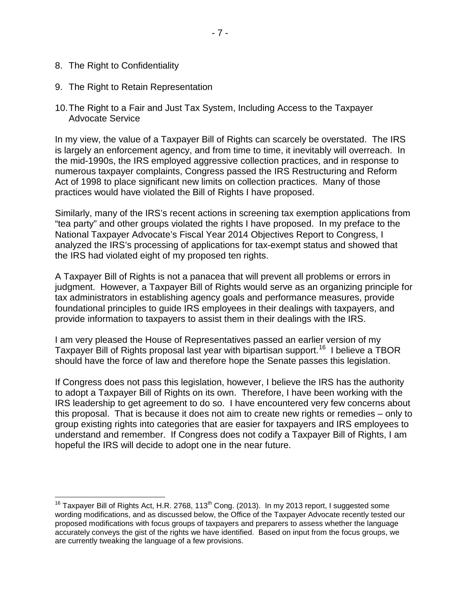- 8. The Right to Confidentiality
- 9. The Right to Retain Representation
- 10.The Right to a Fair and Just Tax System, Including Access to the Taxpayer Advocate Service

In my view, the value of a Taxpayer Bill of Rights can scarcely be overstated. The IRS is largely an enforcement agency, and from time to time, it inevitably will overreach. In the mid-1990s, the IRS employed aggressive collection practices, and in response to numerous taxpayer complaints, Congress passed the IRS Restructuring and Reform Act of 1998 to place significant new limits on collection practices. Many of those practices would have violated the Bill of Rights I have proposed.

Similarly, many of the IRS's recent actions in screening tax exemption applications from "tea party" and other groups violated the rights I have proposed. In my preface to the National Taxpayer Advocate's Fiscal Year 2014 Objectives Report to Congress, I analyzed the IRS's processing of applications for tax-exempt status and showed that the IRS had violated eight of my proposed ten rights.

A Taxpayer Bill of Rights is not a panacea that will prevent all problems or errors in judgment. However, a Taxpayer Bill of Rights would serve as an organizing principle for tax administrators in establishing agency goals and performance measures, provide foundational principles to guide IRS employees in their dealings with taxpayers, and provide information to taxpayers to assist them in their dealings with the IRS.

I am very pleased the House of Representatives passed an earlier version of my Taxpayer Bill of Rights proposal last year with bipartisan support.<sup>[16](#page-8-0)</sup> I believe a TBOR should have the force of law and therefore hope the Senate passes this legislation.

If Congress does not pass this legislation, however, I believe the IRS has the authority to adopt a Taxpayer Bill of Rights on its own. Therefore, I have been working with the IRS leadership to get agreement to do so. I have encountered very few concerns about this proposal. That is because it does not aim to create new rights or remedies – only to group existing rights into categories that are easier for taxpayers and IRS employees to understand and remember. If Congress does not codify a Taxpayer Bill of Rights, I am hopeful the IRS will decide to adopt one in the near future.

<span id="page-8-0"></span><sup>&</sup>lt;sup>16</sup> Taxpayer Bill of Rights Act, H.R. 2768, 113<sup>th</sup> Cong. (2013). In my 2013 report, I suggested some wording modifications, and as discussed below, the Office of the Taxpayer Advocate recently tested our proposed modifications with focus groups of taxpayers and preparers to assess whether the language accurately conveys the gist of the rights we have identified. Based on input from the focus groups, we are currently tweaking the language of a few provisions.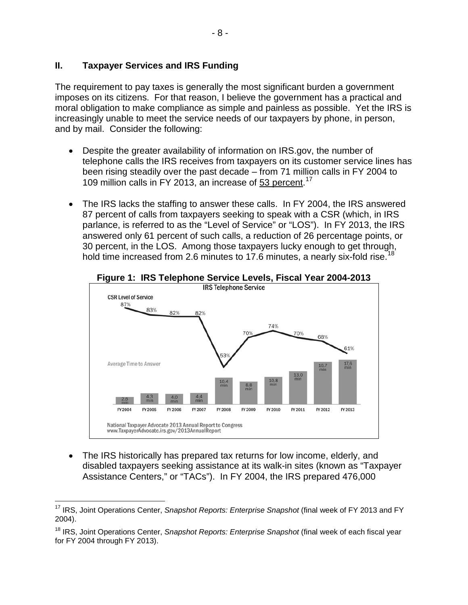## <span id="page-9-0"></span>**II. Taxpayer Services and IRS Funding**

The requirement to pay taxes is generally the most significant burden a government imposes on its citizens. For that reason, I believe the government has a practical and moral obligation to make compliance as simple and painless as possible. Yet the IRS is increasingly unable to meet the service needs of our taxpayers by phone, in person, and by mail. Consider the following:

- Despite the greater availability of information on IRS.gov, the number of telephone calls the IRS receives from taxpayers on its customer service lines has been rising steadily over the past decade – from 71 million calls in FY 2004 to 109 million calls in FY 2013, an increase of 53 percent.<sup>[17](#page-9-1)</sup>
- The IRS lacks the staffing to answer these calls. In FY 2004, the IRS answered 87 percent of calls from taxpayers seeking to speak with a CSR (which, in IRS parlance, is referred to as the "Level of Service" or "LOS"). In FY 2013, the IRS answered only 61 percent of such calls, a reduction of 26 percentage points, or 30 percent, in the LOS. Among those taxpayers lucky enough to get through, hold time increased from 2.6 minutes to 17.6 minutes, a nearly six-fold rise.<sup>1</sup>



• The IRS historically has prepared tax returns for low income, elderly, and disabled taxpayers seeking assistance at its walk-in sites (known as "Taxpayer Assistance Centers," or "TACs"). In FY 2004, the IRS prepared 476,000

<span id="page-9-1"></span><sup>17</sup> IRS, Joint Operations Center, *Snapshot Reports: Enterprise Snapshot* (final week of FY 2013 and FY 2004).

<span id="page-9-2"></span><sup>18</sup> IRS, Joint Operations Center, *Snapshot Reports: Enterprise Snapshot* (final week of each fiscal year for FY 2004 through FY 2013).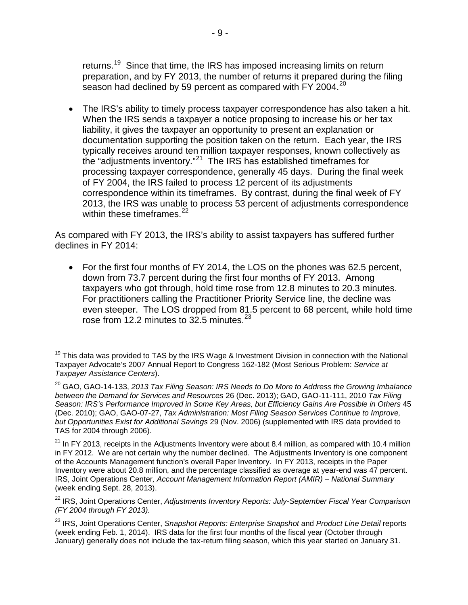returns.<sup>[19](#page-10-0)</sup> Since that time, the IRS has imposed increasing limits on return preparation, and by FY 2013, the number of returns it prepared during the filing season had declined by 59 percent as compared with FY [20](#page-10-1)04.<sup>20</sup>

• The IRS's ability to timely process taxpayer correspondence has also taken a hit. When the IRS sends a taxpayer a notice proposing to increase his or her tax liability, it gives the taxpayer an opportunity to present an explanation or documentation supporting the position taken on the return. Each year, the IRS typically receives around ten million taxpayer responses, known collectively as the "adjustments inventory."[21](#page-10-2) The IRS has established timeframes for processing taxpayer correspondence, generally 45 days. During the final week of FY 2004, the IRS failed to process 12 percent of its adjustments correspondence within its timeframes. By contrast, during the final week of FY 2013, the IRS was unable to process 53 percent of adjustments correspondence within these time frames. $22$ 

As compared with FY 2013, the IRS's ability to assist taxpayers has suffered further declines in FY 2014:

• For the first four months of FY 2014, the LOS on the phones was 62.5 percent, down from 73.7 percent during the first four months of FY 2013. Among taxpayers who got through, hold time rose from 12.8 minutes to 20.3 minutes. For practitioners calling the Practitioner Priority Service line, the decline was even steeper. The LOS dropped from 81.5 percent to 68 percent, while hold time rose from 12.2 minutes to 32.5 minutes. $^{23}$  $^{23}$  $^{23}$ 

<span id="page-10-0"></span><sup>&</sup>lt;sup>19</sup> This data was provided to TAS by the IRS Wage & Investment Division in connection with the National Taxpayer Advocate's 2007 Annual Report to Congress 162-182 (Most Serious Problem: *Service at Taxpayer Assistance Centers*).

<span id="page-10-1"></span><sup>&</sup>lt;sup>20</sup> GAO, GAO-14-133, 2013 Tax Filing Season: IRS Needs to Do More to Address the Growing Imbalance *between the Demand for Services and Resources* 26 (Dec. 2013); GAO, GAO-11-111, 2010 *Tax Filing Season: IRS's Performance Improved in Some Key Areas, but Efficiency Gains Are Possible in Others* 45 (Dec. 2010); GAO, GAO-07-27, *Tax Administration: Most Filing Season Services Continue to Improve, but Opportunities Exist for Additional Savings* 29 (Nov. 2006) (supplemented with IRS data provided to TAS for 2004 through 2006).

<span id="page-10-2"></span> $21$  In FY 2013, receipts in the Adjustments Inventory were about 8.4 million, as compared with 10.4 million in FY 2012. We are not certain why the number declined. The Adjustments Inventory is one component of the Accounts Management function's overall Paper Inventory. In FY 2013, receipts in the Paper Inventory were about 20.8 million, and the percentage classified as overage at year-end was 47 percent. IRS, Joint Operations Center*, Account Management Information Report (AMIR) – National Summary* (week ending Sept. 28, 2013).

<span id="page-10-3"></span><sup>&</sup>lt;sup>22</sup> IRS, Joint Operations Center, *Adjustments Inventory Reports: July-September Fiscal Year Comparison (FY 2004 through FY 2013).*

<span id="page-10-4"></span><sup>23</sup> IRS, Joint Operations Center, *Snapshot Reports: Enterprise Snapshot* and *Product Line Detail* reports (week ending Feb. 1, 2014). IRS data for the first four months of the fiscal year (October through January) generally does not include the tax-return filing season, which this year started on January 31.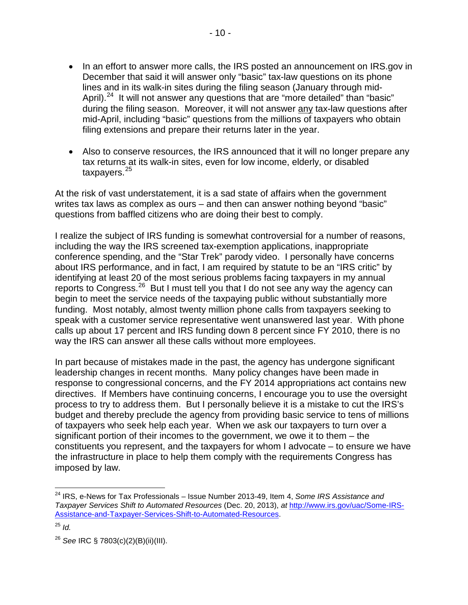- In an effort to answer more calls, the IRS posted an announcement on IRS.gov in December that said it will answer only "basic" tax-law questions on its phone lines and in its walk-in sites during the filing season (January through mid-April).<sup>24</sup> It will not answer any questions that are "more detailed" than "basic" during the filing season. Moreover, it will not answer any tax-law questions after mid-April, including "basic" questions from the millions of taxpayers who obtain filing extensions and prepare their returns later in the year.
- Also to conserve resources, the IRS announced that it will no longer prepare any tax returns at its walk-in sites, even for low income, elderly, or disabled taxpayers.<sup>[25](#page-11-1)</sup>

At the risk of vast understatement, it is a sad state of affairs when the government writes tax laws as complex as ours – and then can answer nothing beyond "basic" questions from baffled citizens who are doing their best to comply.

I realize the subject of IRS funding is somewhat controversial for a number of reasons, including the way the IRS screened tax-exemption applications, inappropriate conference spending, and the "Star Trek" parody video. I personally have concerns about IRS performance, and in fact, I am required by statute to be an "IRS critic" by identifying at least 20 of the most serious problems facing taxpayers in my annual reports to Congress.[26](#page-11-2) But I must tell you that I do not see any way the agency can begin to meet the service needs of the taxpaying public without substantially more funding. Most notably, almost twenty million phone calls from taxpayers seeking to speak with a customer service representative went unanswered last year. With phone calls up about 17 percent and IRS funding down 8 percent since FY 2010, there is no way the IRS can answer all these calls without more employees.

In part because of mistakes made in the past, the agency has undergone significant leadership changes in recent months. Many policy changes have been made in response to congressional concerns, and the FY 2014 appropriations act contains new directives. If Members have continuing concerns, I encourage you to use the oversight process to try to address them. But I personally believe it is a mistake to cut the IRS's budget and thereby preclude the agency from providing basic service to tens of millions of taxpayers who seek help each year. When we ask our taxpayers to turn over a significant portion of their incomes to the government, we owe it to them – the constituents you represent, and the taxpayers for whom I advocate – to ensure we have the infrastructure in place to help them comply with the requirements Congress has imposed by law.

<span id="page-11-0"></span><sup>24</sup> IRS, e-News for Tax Professionals – Issue Number 2013-49, Item 4, *Some IRS Assistance and Taxpayer Services Shift to Automated Resources* (Dec. 20, 2013), *at* [http://www.irs.gov/uac/Some-IRS-](http://www.irs.gov/uac/Some-IRS-Assistance-and-Taxpayer-Services-Shift-to-Automated-Resources)[Assistance-and-Taxpayer-Services-Shift-to-Automated-Resources.](http://www.irs.gov/uac/Some-IRS-Assistance-and-Taxpayer-Services-Shift-to-Automated-Resources)

<span id="page-11-1"></span><sup>25</sup> *Id.*

<span id="page-11-2"></span><sup>26</sup> *See* IRC § 7803(c)(2)(B)(ii)(III).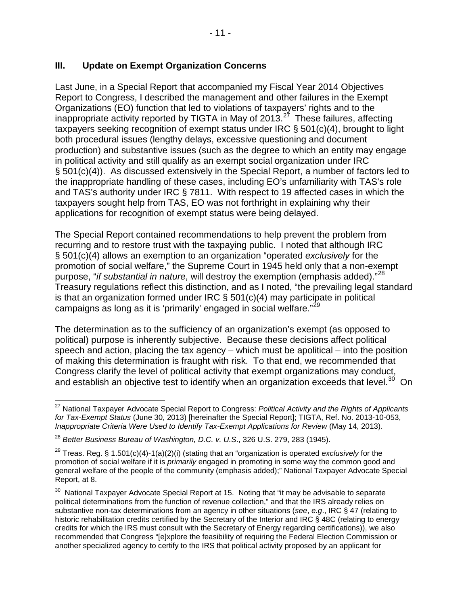## <span id="page-12-0"></span>**III. Update on Exempt Organization Concerns**

Last June, in a Special Report that accompanied my Fiscal Year 2014 Objectives Report to Congress, I described the management and other failures in the Exempt Organizations (EO) function that led to violations of taxpayers' rights and to the inappropriate activity reported by TIGTA in May of 2013.<sup>27</sup> These failures, affecting taxpayers seeking recognition of exempt status under IRC § 501(c)(4), brought to light both procedural issues (lengthy delays, excessive questioning and document production) and substantive issues (such as the degree to which an entity may engage in political activity and still qualify as an exempt social organization under IRC § 501(c)(4)). As discussed extensively in the Special Report, a number of factors led to the inappropriate handling of these cases, including EO's unfamiliarity with TAS's role and TAS's authority under IRC § 7811. With respect to 19 affected cases in which the taxpayers sought help from TAS, EO was not forthright in explaining why their applications for recognition of exempt status were being delayed.

The Special Report contained recommendations to help prevent the problem from recurring and to restore trust with the taxpaying public. I noted that although IRC § 501(c)(4) allows an exemption to an organization "operated *exclusively* for the promotion of social welfare," the Supreme Court in 1945 held only that a non-exempt purpose, "*if substantial in nature*, will destroy the exemption (emphasis added)."[28](#page-12-2)  Treasury regulations reflect this distinction, and as I noted, "the prevailing legal standard is that an organization formed under IRC  $\S$  501(c)(4) may participate in political campaigns as long as it is 'primarily' engaged in social welfare."<sup>29</sup>

The determination as to the sufficiency of an organization's exempt (as opposed to political) purpose is inherently subjective. Because these decisions affect political speech and action, placing the tax agency – which must be apolitical – into the position of making this determination is fraught with risk. To that end, we recommended that Congress clarify the level of political activity that exempt organizations may conduct, and establish an objective test to identify when an organization exceeds that level.<sup>30</sup> On

<span id="page-12-1"></span><sup>27</sup> National Taxpayer Advocate Special Report to Congress: *Political Activity and the Rights of Applicants for Tax-Exempt Status* (June 30, 2013) [hereinafter the Special Report]; TIGTA, Ref. No. 2013-10-053, *Inappropriate Criteria Were Used to Identify Tax-Exempt Applications for Review* (May 14, 2013).

<span id="page-12-2"></span><sup>28</sup> *Better Business Bureau of Washington, D.C. v. U.S*., 326 U.S. 279, 283 (1945).

<span id="page-12-3"></span><sup>29</sup> Treas. Reg. § 1.501(c)(4)-1(a)(2)(i) (stating that an "organization is operated *exclusively* for the promotion of social welfare if it is *primarily* engaged in promoting in some way the common good and general welfare of the people of the community (emphasis added);" National Taxpayer Advocate Special Report, at 8.

<span id="page-12-4"></span> $30$  National Taxpayer Advocate Special Report at 15. Noting that "it may be advisable to separate political determinations from the function of revenue collection," and that the IRS already relies on substantive non-tax determinations from an agency in other situations (*see*, *e.g*., IRC § 47 (relating to historic rehabilitation credits certified by the Secretary of the Interior and IRC § 48C (relating to energy credits for which the IRS must consult with the Secretary of Energy regarding certifications)), we also recommended that Congress "[e]xplore the feasibility of requiring the Federal Election Commission or another specialized agency to certify to the IRS that political activity proposed by an applicant for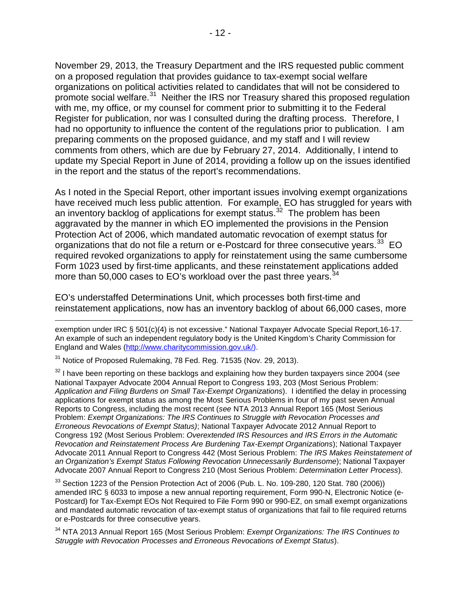November 29, 2013, the Treasury Department and the IRS requested public comment on a proposed regulation that provides guidance to tax-exempt social welfare organizations on political activities related to candidates that will not be considered to promote social welfare.<sup>31</sup> Neither the IRS nor Treasury shared this proposed regulation with me, my office, or my counsel for comment prior to submitting it to the Federal Register for publication, nor was I consulted during the drafting process. Therefore, I had no opportunity to influence the content of the regulations prior to publication. I am preparing comments on the proposed guidance, and my staff and I will review comments from others, which are due by February 27, 2014. Additionally, I intend to update my Special Report in June of 2014, providing a follow up on the issues identified in the report and the status of the report's recommendations.

As I noted in the Special Report, other important issues involving exempt organizations have received much less public attention. For example, EO has struggled for years with an inventory backlog of applications for exempt status.<sup>[32](#page-13-1)</sup> The problem has been aggravated by the manner in which EO implemented the provisions in the Pension Protection Act of 2006, which mandated automatic revocation of exempt status for organizations that do not file a return or e-Postcard for three consecutive years.<sup>[33](#page-13-2)</sup> EO required revoked organizations to apply for reinstatement using the same cumbersome Form 1023 used by first-time applicants, and these reinstatement applications added more than 50,000 cases to EO's workload over the past three years.<sup>34</sup>

EO's understaffed Determinations Unit, which processes both first-time and reinstatement applications, now has an inventory backlog of about 66,000 cases, more

exemption under IRC § 501(c)(4) is not excessive." National Taxpayer Advocate Special Report,16-17. An example of such an independent regulatory body is the United Kingdom's Charity Commission for England and Wales [\(http://www.charitycommission.gov.uk/\)](http://www.charitycommission.gov.uk/).

<span id="page-13-0"></span> $31$  Notice of Proposed Rulemaking, 78 Fed. Reg. 71535 (Nov. 29, 2013).

 $\overline{a}$ 

<span id="page-13-1"></span><sup>32</sup> I have been reporting on these backlogs and explaining how they burden taxpayers since 2004 (*see* National Taxpayer Advocate 2004 Annual Report to Congress 193, 203 (Most Serious Problem: *Application and Filing Burdens on Small Tax-Exempt Organizations*). I identified the delay in processing applications for exempt status as among the Most Serious Problems in four of my past seven Annual Reports to Congress, including the most recent (*see* NTA 2013 Annual Report 165 (Most Serious Problem: *Exempt Organizations: The IRS Continues to Struggle with Revocation Processes and Erroneous Revocations of Exempt Status)*; National Taxpayer Advocate 2012 Annual Report to Congress 192 (Most Serious Problem: *Overextended IRS Resources and IRS Errors in the Automatic Revocation and Reinstatement Process Are Burdening Tax-Exempt Organizations*); National Taxpayer Advocate 2011 Annual Report to Congress 442 (Most Serious Problem: *The IRS Makes Reinstatement of an Organization's Exempt Status Following Revocation Unnecessarily Burdensome*); National Taxpayer Advocate 2007 Annual Report to Congress 210 (Most Serious Problem: *Determination Letter Process*).

<span id="page-13-2"></span> $33$  Section 1223 of the Pension Protection Act of 2006 (Pub. L. No. 109-280, 120 Stat. 780 (2006)) amended IRC § 6033 to impose a new annual reporting requirement, Form 990-N, Electronic Notice (e-Postcard) for Tax-Exempt EOs Not Required to File Form 990 or 990-EZ, on small exempt organizations and mandated automatic revocation of tax-exempt status of organizations that fail to file required returns or e-Postcards for three consecutive years.

<span id="page-13-3"></span><sup>34</sup> NTA 2013 Annual Report 165 (Most Serious Problem: *Exempt Organizations: The IRS Continues to Struggle with Revocation Processes and Erroneous Revocations of Exempt Status*).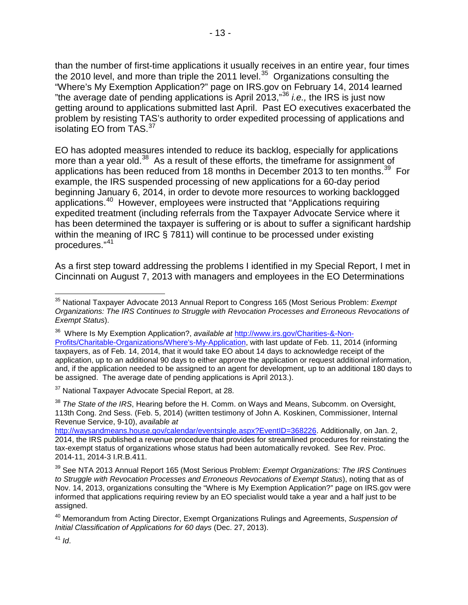than the number of first-time applications it usually receives in an entire year, four times the 2010 level, and more than triple the 2011 level.<sup>[35](#page-14-0)</sup> Organizations consulting the "Where's My Exemption Application?" page on IRS.gov on February 14, 2014 learned "the average date of pending applications is April 2013,"[36](#page-14-1) *i.e.,* the IRS is just now getting around to applications submitted last April. Past EO executives exacerbated the problem by resisting TAS's authority to order expedited processing of applications and isolating EO from TAS.<sup>[37](#page-14-2)</sup>

EO has adopted measures intended to reduce its backlog, especially for applications more than a year old.<sup>38</sup> As a result of these efforts, the timeframe for assignment of applications has been reduced from 18 months in December 2013 to ten months.<sup>39</sup> For example, the IRS suspended processing of new applications for a 60-day period beginning January 6, 2014, in order to devote more resources to working backlogged applications.[40](#page-14-5) However, employees were instructed that "Applications requiring expedited treatment (including referrals from the Taxpayer Advocate Service where it has been determined the taxpayer is suffering or is about to suffer a significant hardship within the meaning of IRC § 7811) will continue to be processed under existing procedures."[41](#page-14-6)

As a first step toward addressing the problems I identified in my Special Report, I met in Cincinnati on August 7, 2013 with managers and employees in the EO Determinations

<span id="page-14-2"></span><sup>37</sup> National Taxpayer Advocate Special Report, at 28.

<span id="page-14-3"></span><sup>38</sup> *The State of the IRS*, Hearing before the H. Comm. on Ways and Means, Subcomm. on Oversight, 113th Cong. 2nd Sess. (Feb. 5, 2014) (written testimony of John A. Koskinen, Commissioner, Internal Revenue Service, 9-10), *available at* 

[http://waysandmeans.house.gov/calendar/eventsingle.aspx?EventID=368226.](http://waysandmeans.house.gov/calendar/eventsingle.aspx?EventID=368226) Additionally, on Jan. 2, 2014, the IRS published a revenue procedure that provides for streamlined procedures for reinstating the tax-exempt status of organizations whose status had been automatically revoked. See Rev. Proc. 2014-11, 2014-3 I.R.B.411.

<span id="page-14-4"></span><sup>39</sup> See NTA 2013 Annual Report 165 (Most Serious Problem: *Exempt Organizations: The IRS Continues to Struggle with Revocation Processes and Erroneous Revocations of Exempt Status*), noting that as of Nov. 14, 2013, organizations consulting the "Where is My Exemption Application?" page on IRS.gov were informed that applications requiring review by an EO specialist would take a year and a half just to be assigned.

<span id="page-14-5"></span><sup>40</sup> Memorandum from Acting Director, Exempt Organizations Rulings and Agreements, *Suspension of Initial Classification of Applications for 60 days* (Dec. 27, 2013).

<span id="page-14-6"></span> $41$  *Id.* 

<span id="page-14-0"></span><sup>35</sup> National Taxpayer Advocate 2013 Annual Report to Congress 165 (Most Serious Problem: *Exempt Organizations: The IRS Continues to Struggle with Revocation Processes and Erroneous Revocations of Exempt Status*).

<span id="page-14-1"></span><sup>36</sup> Where Is My Exemption Application?, *available at* [http://www.irs.gov/Charities-&-Non-](http://www.irs.gov/Charities-&-Non-Profits/Charitable-Organizations/Where)[Profits/Charitable-Organizations/Where's-My-Application,](http://www.irs.gov/Charities-&-Non-Profits/Charitable-Organizations/Where) with last update of Feb. 11, 2014 (informing taxpayers, as of Feb. 14, 2014, that it would take EO about 14 days to acknowledge receipt of the application, up to an additional 90 days to either approve the application or request additional information, and, if the application needed to be assigned to an agent for development, up to an additional 180 days to be assigned. The average date of pending applications is April 2013.).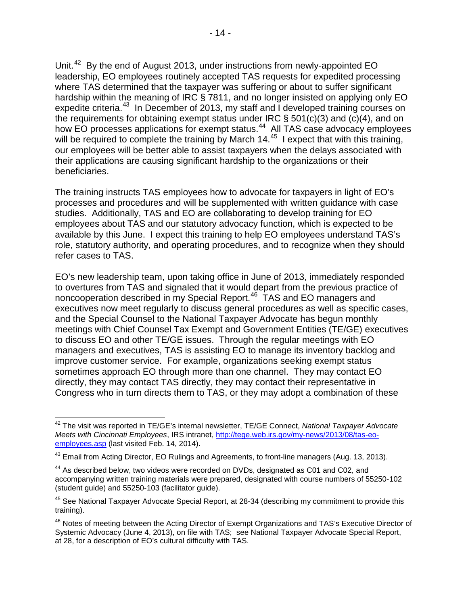Unit.<sup>[42](#page-15-0)</sup> By the end of August 2013, under instructions from newly-appointed EO leadership, EO employees routinely accepted TAS requests for expedited processing where TAS determined that the taxpayer was suffering or about to suffer significant hardship within the meaning of IRC § 7811, and no longer insisted on applying only EO expedite criteria.<sup>[43](#page-15-1)</sup> In December of 2013, my staff and I developed training courses on the requirements for obtaining exempt status under IRC  $\S$  501(c)(3) and (c)(4), and on how EO processes applications for exempt status.<sup>44</sup> All TAS case advocacy employees will be required to complete the training by March 14.<sup>[45](#page-15-3)</sup> I expect that with this training, our employees will be better able to assist taxpayers when the delays associated with their applications are causing significant hardship to the organizations or their beneficiaries.

The training instructs TAS employees how to advocate for taxpayers in light of EO's processes and procedures and will be supplemented with written guidance with case studies. Additionally, TAS and EO are collaborating to develop training for EO employees about TAS and our statutory advocacy function, which is expected to be available by this June. I expect this training to help EO employees understand TAS's role, statutory authority, and operating procedures, and to recognize when they should refer cases to TAS.

EO's new leadership team, upon taking office in June of 2013, immediately responded to overtures from TAS and signaled that it would depart from the previous practice of noncooperation described in my Special Report.<sup>46</sup> TAS and EO managers and executives now meet regularly to discuss general procedures as well as specific cases, and the Special Counsel to the National Taxpayer Advocate has begun monthly meetings with Chief Counsel Tax Exempt and Government Entities (TE/GE) executives to discuss EO and other TE/GE issues. Through the regular meetings with EO managers and executives, TAS is assisting EO to manage its inventory backlog and improve customer service. For example, organizations seeking exempt status sometimes approach EO through more than one channel. They may contact EO directly, they may contact TAS directly, they may contact their representative in Congress who in turn directs them to TAS, or they may adopt a combination of these

<span id="page-15-0"></span><sup>42</sup> The visit was reported in TE/GE's internal newsletter, TE/GE Connect, *National Taxpayer Advocate Meets with Cincinnati Employees*, IRS intranet, [http://tege.web.irs.gov/my-news/2013/08/tas-eo](http://tege.web.irs.gov/my-news/2013/08/tas-eo-employees.asp)[employees.asp](http://tege.web.irs.gov/my-news/2013/08/tas-eo-employees.asp) (last visited Feb. 14, 2014).

<span id="page-15-1"></span><sup>&</sup>lt;sup>43</sup> Email from Acting Director, EO Rulings and Agreements, to front-line managers (Aug. 13, 2013).

<span id="page-15-2"></span><sup>&</sup>lt;sup>44</sup> As described below, two videos were recorded on DVDs, designated as C01 and C02, and accompanying written training materials were prepared, designated with course numbers of 55250-102 (student guide) and 55250-103 (facilitator guide).

<span id="page-15-3"></span><sup>&</sup>lt;sup>45</sup> See National Taxpayer Advocate Special Report, at 28-34 (describing my commitment to provide this training).

<span id="page-15-4"></span><sup>&</sup>lt;sup>46</sup> Notes of meeting between the Acting Director of Exempt Organizations and TAS's Executive Director of Systemic Advocacy (June 4, 2013), on file with TAS; see National Taxpayer Advocate Special Report, at 28, for a description of EO's cultural difficulty with TAS.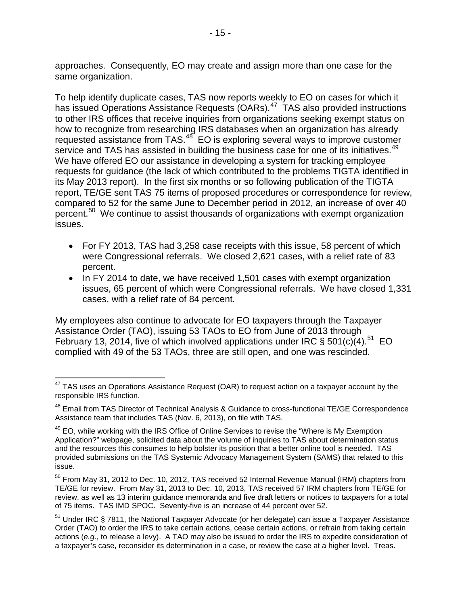approaches. Consequently, EO may create and assign more than one case for the same organization.

To help identify duplicate cases, TAS now reports weekly to EO on cases for which it has issued Operations Assistance Requests (OARs).<sup>47</sup> TAS also provided instructions to other IRS offices that receive inquiries from organizations seeking exempt status on how to recognize from researching IRS databases when an organization has already requested assistance from TAS.<sup>[48](#page-16-1)</sup> EO is exploring several ways to improve customer service and TAS has assisted in building the business case for one of its initiatives.<sup>49</sup> We have offered EO our assistance in developing a system for tracking employee requests for guidance (the lack of which contributed to the problems TIGTA identified in its May 2013 report). In the first six months or so following publication of the TIGTA report, TE/GE sent TAS 75 items of proposed procedures or correspondence for review, compared to 52 for the same June to December period in 2012, an increase of over 40 percent.<sup>50</sup> We continue to assist thousands of organizations with exempt organization issues.

- For FY 2013, TAS had 3,258 case receipts with this issue, 58 percent of which were Congressional referrals. We closed 2,621 cases, with a relief rate of 83 percent.
- In FY 2014 to date, we have received 1,501 cases with exempt organization issues, 65 percent of which were Congressional referrals. We have closed 1,331 cases, with a relief rate of 84 percent.

My employees also continue to advocate for EO taxpayers through the Taxpayer Assistance Order (TAO), issuing 53 TAOs to EO from June of 2013 through February 13, 2014, five of which involved applications under IRC § 501(c)(4).<sup>51</sup> EO complied with 49 of the 53 TAOs, three are still open, and one was rescinded.

<span id="page-16-0"></span> $47$  TAS uses an Operations Assistance Request (OAR) to request action on a taxpayer account by the responsible IRS function.

<span id="page-16-1"></span><sup>&</sup>lt;sup>48</sup> Email from TAS Director of Technical Analysis & Guidance to cross-functional TE/GE Correspondence Assistance team that includes TAS (Nov. 6, 2013), on file with TAS.

<span id="page-16-2"></span><sup>&</sup>lt;sup>49</sup> EO, while working with the IRS Office of Online Services to revise the "Where is My Exemption Application?" webpage, solicited data about the volume of inquiries to TAS about determination status and the resources this consumes to help bolster its position that a better online tool is needed. TAS provided submissions on the TAS Systemic Advocacy Management System (SAMS) that related to this issue.

<span id="page-16-3"></span><sup>&</sup>lt;sup>50</sup> From May 31, 2012 to Dec. 10, 2012, TAS received 52 Internal Revenue Manual (IRM) chapters from TE/GE for review. From May 31, 2013 to Dec. 10, 2013, TAS received 57 IRM chapters from TE/GE for review, as well as 13 interim guidance memoranda and five draft letters or notices to taxpayers for a total of 75 items. TAS IMD SPOC. Seventy-five is an increase of 44 percent over 52.

<span id="page-16-4"></span><sup>51</sup> Under IRC § 7811, the National Taxpayer Advocate (or her delegate) can issue a Taxpayer Assistance Order (TAO) to order the IRS to take certain actions, cease certain actions, or refrain from taking certain actions (*e.g*., to release a levy). A TAO may also be issued to order the IRS to expedite consideration of a taxpayer's case, reconsider its determination in a case, or review the case at a higher level. Treas.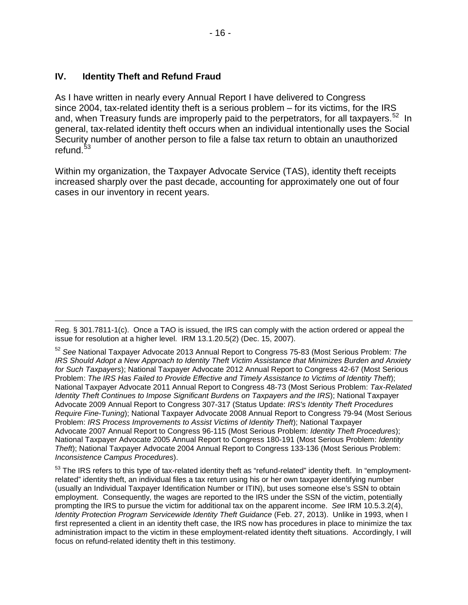## <span id="page-17-0"></span>**IV. Identity Theft and Refund Fraud**

As I have written in nearly every Annual Report I have delivered to Congress since 2004, tax-related identity theft is a serious problem – for its victims, for the IRS and, when Treasury funds are improperly paid to the perpetrators, for all taxpayers.<sup>[52](#page-17-1)</sup> In general, tax-related identity theft occurs when an individual intentionally uses the Social Security number of another person to file a false tax return to obtain an unauthorized refund.<sup>53</sup>

Within my organization, the Taxpayer Advocate Service (TAS), identity theft receipts increased sharply over the past decade, accounting for approximately one out of four cases in our inventory in recent years.

 $\overline{a}$ Reg. § 301.7811-1(c). Once a TAO is issued, the IRS can comply with the action ordered or appeal the issue for resolution at a higher level. IRM 13.1.20.5(2) (Dec. 15, 2007).

<span id="page-17-1"></span><sup>52</sup> *See* National Taxpayer Advocate 2013 Annual Report to Congress 75-83 (Most Serious Problem: *The IRS Should Adopt a New Approach to Identity Theft Victim Assistance that Minimizes Burden and Anxiety for Such Taxpayers*); National Taxpayer Advocate 2012 Annual Report to Congress 42-67 (Most Serious Problem: *The IRS Has Failed to Provide Effective and Timely Assistance to Victims of Identity Theft*); National Taxpayer Advocate 2011 Annual Report to Congress 48-73 (Most Serious Problem: *Tax-Related Identity Theft Continues to Impose Significant Burdens on Taxpayers and the IRS*); National Taxpayer Advocate 2009 Annual Report to Congress 307-317 (Status Update: *IRS's Identity Theft Procedures Require Fine-Tuning*); National Taxpayer Advocate 2008 Annual Report to Congress 79-94 (Most Serious Problem: *IRS Process Improvements to Assist Victims of Identity Theft*); National Taxpayer Advocate 2007 Annual Report to Congress 96-115 (Most Serious Problem: *Identity Theft Procedures*); National Taxpayer Advocate 2005 Annual Report to Congress 180-191 (Most Serious Problem: *Identity Theft*); National Taxpayer Advocate 2004 Annual Report to Congress 133-136 (Most Serious Problem: *Inconsistence Campus Procedures*).

<span id="page-17-2"></span><sup>&</sup>lt;sup>53</sup> The IRS refers to this type of tax-related identity theft as "refund-related" identity theft. In "employmentrelated" identity theft, an individual files a tax return using his or her own taxpayer identifying number (usually an Individual Taxpayer Identification Number or ITIN), but uses someone else's SSN to obtain employment. Consequently, the wages are reported to the IRS under the SSN of the victim, potentially prompting the IRS to pursue the victim for additional tax on the apparent income. *See* IRM 10.5.3.2(4), *Identity Protection Program Servicewide Identity Theft Guidance* (Feb. 27, 2013). Unlike in 1993, when I first represented a client in an identity theft case, the IRS now has procedures in place to minimize the tax administration impact to the victim in these employment-related identity theft situations. Accordingly, I will focus on refund-related identity theft in this testimony.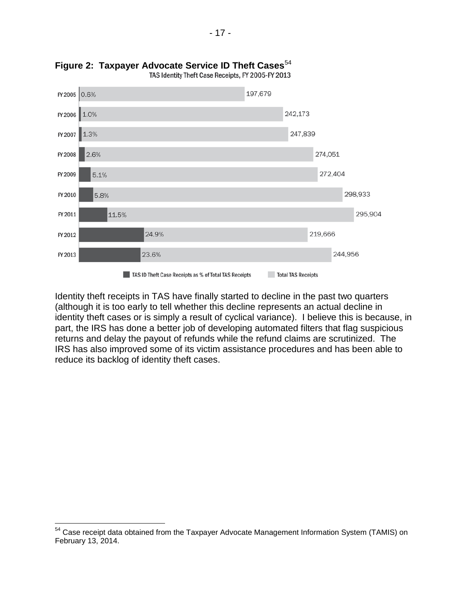



Identity theft receipts in TAS have finally started to decline in the past two quarters (although it is too early to tell whether this decline represents an actual decline in identity theft cases or is simply a result of cyclical variance). I believe this is because, in part, the IRS has done a better job of developing automated filters that flag suspicious returns and delay the payout of refunds while the refund claims are scrutinized. The IRS has also improved some of its victim assistance procedures and has been able to reduce its backlog of identity theft cases.

<span id="page-18-0"></span><sup>&</sup>lt;sup>54</sup> Case receipt data obtained from the Taxpayer Advocate Management Information System (TAMIS) on February 13, 2014.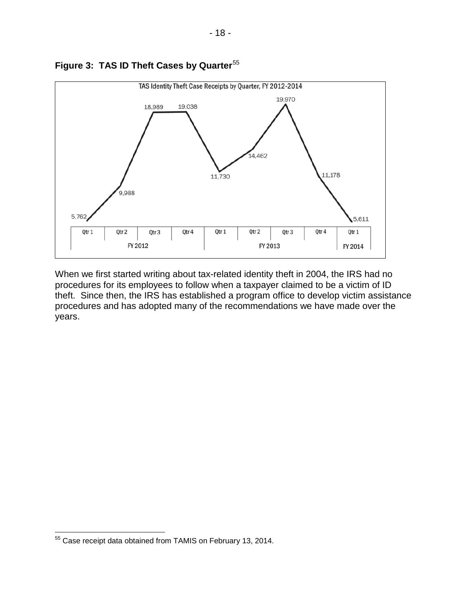



When we first started writing about tax-related identity theft in 2004, the IRS had no procedures for its employees to follow when a taxpayer claimed to be a victim of ID theft. Since then, the IRS has established a program office to develop victim assistance procedures and has adopted many of the recommendations we have made over the years.

<span id="page-19-0"></span><sup>&</sup>lt;sup>55</sup> Case receipt data obtained from TAMIS on February 13, 2014.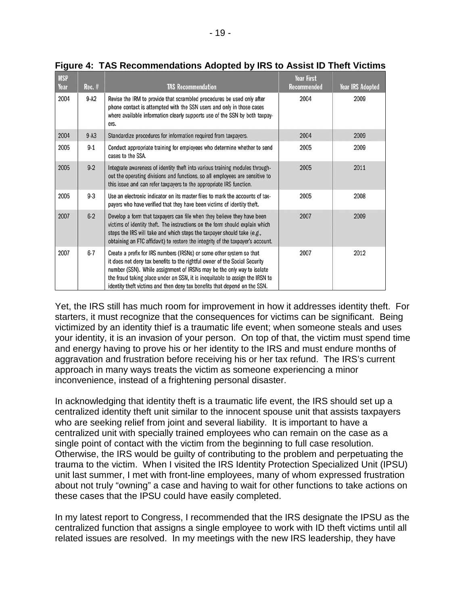| <b>MSP</b><br>Year | $Rec.$ # | <b>TAS Recommendation</b>                                                                                                                                                                                                                                                                                                                                                                 | <b>Year First</b><br><b>Recommended</b> | <b>Year IRS Adopted</b> |
|--------------------|----------|-------------------------------------------------------------------------------------------------------------------------------------------------------------------------------------------------------------------------------------------------------------------------------------------------------------------------------------------------------------------------------------------|-----------------------------------------|-------------------------|
| 2004               | 9-A2     | Revise the IRM to provide that scrambled procedures be used only after<br>phone contact is attempted with the SSN users and only in those cases<br>where available information clearly supports use of the SSN by both taxpay-<br>ers.                                                                                                                                                    | 2004                                    | 2009                    |
| 2004               | $9-A3$   | Standardize procedures for information required from taxpayers.                                                                                                                                                                                                                                                                                                                           | 2004                                    | 2009                    |
| 2005               | $9-1$    | Conduct appropriate training for employees who determine whether to send<br>cases to the SSA.                                                                                                                                                                                                                                                                                             | 2005                                    | 2009                    |
| 2005               | $9-2$    | Integrate awareness of identity theft into various training modules through-<br>out the operating divisions and functions, so all employees are sensitive to<br>this issue and can refer taxpayers to the appropriate IRS function.                                                                                                                                                       | 2005                                    | 2011                    |
| 2005               | $9 - 3$  | Use an electronic indicator on its master files to mark the accounts of tax-<br>payers who have verified that they have been victims of identity theft.                                                                                                                                                                                                                                   | 2005                                    | 2008                    |
| 2007               | $6 - 2$  | Develop a form that taxpayers can file when they believe they have been<br>victims of identity theft. The instructions on the form should explain which<br>steps the IRS will take and which steps the taxpayer should take (e.g.,<br>obtaining an FTC affidavit) to restore the integrity of the taxpayer's account.                                                                     | 2007                                    | 2009                    |
| 2007               | $6 - 7$  | Create a prefix for IRS numbers (IRSNs) or some other system so that<br>it does not deny tax benefits to the rightful owner of the Social Security<br>number (SSN). While assignment of IRSNs may be the only way to isolate<br>the fraud taking place under an SSN, it is inequitable to assign the IRSN to<br>identity theft victims and then deny tax benefits that depend on the SSN. | 2007                                    | 2012                    |

**Figure 4: TAS Recommendations Adopted by IRS to Assist ID Theft Victims**

Yet, the IRS still has much room for improvement in how it addresses identity theft. For starters, it must recognize that the consequences for victims can be significant. Being victimized by an identity thief is a traumatic life event; when someone steals and uses your identity, it is an invasion of your person. On top of that, the victim must spend time and energy having to prove his or her identity to the IRS and must endure months of aggravation and frustration before receiving his or her tax refund. The IRS's current approach in many ways treats the victim as someone experiencing a minor inconvenience, instead of a frightening personal disaster.

In acknowledging that identity theft is a traumatic life event, the IRS should set up a centralized identity theft unit similar to the innocent spouse unit that assists taxpayers who are seeking relief from joint and several liability. It is important to have a centralized unit with specially trained employees who can remain on the case as a single point of contact with the victim from the beginning to full case resolution. Otherwise, the IRS would be guilty of contributing to the problem and perpetuating the trauma to the victim. When I visited the IRS Identity Protection Specialized Unit (IPSU) unit last summer, I met with front-line employees, many of whom expressed frustration about not truly "owning" a case and having to wait for other functions to take actions on these cases that the IPSU could have easily completed.

In my latest report to Congress, I recommended that the IRS designate the IPSU as the centralized function that assigns a single employee to work with ID theft victims until all related issues are resolved. In my meetings with the new IRS leadership, they have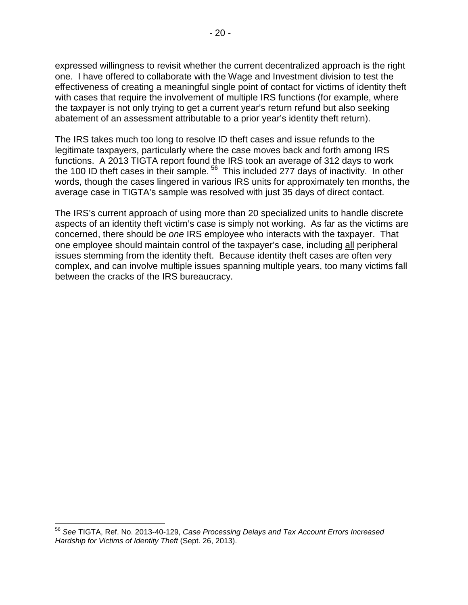expressed willingness to revisit whether the current decentralized approach is the right one. I have offered to collaborate with the Wage and Investment division to test the effectiveness of creating a meaningful single point of contact for victims of identity theft with cases that require the involvement of multiple IRS functions (for example, where the taxpayer is not only trying to get a current year's return refund but also seeking abatement of an assessment attributable to a prior year's identity theft return).

The IRS takes much too long to resolve ID theft cases and issue refunds to the legitimate taxpayers, particularly where the case moves back and forth among IRS functions. A 2013 TIGTA report found the IRS took an average of 312 days to work the 100 ID theft cases in their sample.<sup>[56](#page-21-0)</sup> This included 277 days of inactivity. In other words, though the cases lingered in various IRS units for approximately ten months, the average case in TIGTA's sample was resolved with just 35 days of direct contact.

The IRS's current approach of using more than 20 specialized units to handle discrete aspects of an identity theft victim's case is simply not working. As far as the victims are concerned, there should be *one* IRS employee who interacts with the taxpayer. That one employee should maintain control of the taxpayer's case, including all peripheral issues stemming from the identity theft. Because identity theft cases are often very complex, and can involve multiple issues spanning multiple years, too many victims fall between the cracks of the IRS bureaucracy.

<span id="page-21-0"></span><sup>56</sup> *See* TIGTA, Ref. No. 2013-40-129, *Case Processing Delays and Tax Account Errors Increased Hardship for Victims of Identity Theft* (Sept. 26, 2013).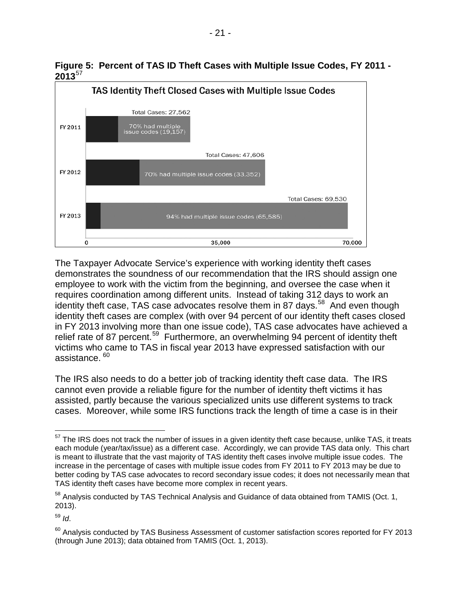



The Taxpayer Advocate Service's experience with working identity theft cases demonstrates the soundness of our recommendation that the IRS should assign one employee to work with the victim from the beginning, and oversee the case when it requires coordination among different units. Instead of taking 312 days to work an identity theft case, TAS case advocates resolve them in 87 days.<sup>[58](#page-22-1)</sup> And even though identity theft cases are complex (with over 94 percent of our identity theft cases closed in FY 2013 involving more than one issue code), TAS case advocates have achieved a relief rate of 87 percent.<sup>[59](#page-22-2)</sup> Furthermore, an overwhelming 94 percent of identity theft victims who came to TAS in fiscal year 2013 have expressed satisfaction with our assistance.<sup>60</sup>

The IRS also needs to do a better job of tracking identity theft case data. The IRS cannot even provide a reliable figure for the number of identity theft victims it has assisted, partly because the various specialized units use different systems to track cases. Moreover, while some IRS functions track the length of time a case is in their

<span id="page-22-2"></span><sup>59</sup> *Id*.

<span id="page-22-0"></span><sup>&</sup>lt;sup>57</sup> The IRS does not track the number of issues in a given identity theft case because, unlike TAS, it treats each module (year/tax/issue) as a different case. Accordingly, we can provide TAS data only. This chart is meant to illustrate that the vast majority of TAS identity theft cases involve multiple issue codes. The increase in the percentage of cases with multiple issue codes from FY 2011 to FY 2013 may be due to better coding by TAS case advocates to record secondary issue codes; it does not necessarily mean that TAS identity theft cases have become more complex in recent years.

<span id="page-22-1"></span><sup>58</sup> Analysis conducted by TAS Technical Analysis and Guidance of data obtained from TAMIS (Oct. 1, 2013).

<span id="page-22-3"></span><sup>&</sup>lt;sup>60</sup> Analysis conducted by TAS Business Assessment of customer satisfaction scores reported for FY 2013 (through June 2013); data obtained from TAMIS (Oct. 1, 2013).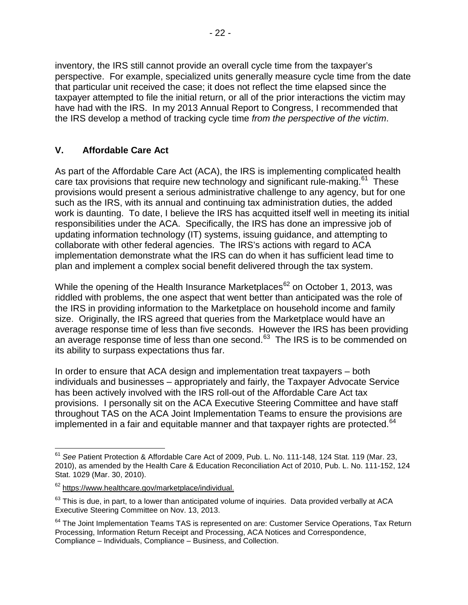inventory, the IRS still cannot provide an overall cycle time from the taxpayer's perspective. For example, specialized units generally measure cycle time from the date that particular unit received the case; it does not reflect the time elapsed since the taxpayer attempted to file the initial return, or all of the prior interactions the victim may have had with the IRS.In my 2013 Annual Report to Congress, I recommended that the IRS develop a method of tracking cycle time *from the perspective of the victim*.

# <span id="page-23-0"></span>**V. Affordable Care Act**

As part of the Affordable Care Act (ACA), the IRS is implementing complicated health care tax provisions that require new technology and significant rule-making.<sup>61</sup> These provisions would present a serious administrative challenge to any agency, but for one such as the IRS, with its annual and continuing tax administration duties, the added work is daunting. To date, I believe the IRS has acquitted itself well in meeting its initial responsibilities under the ACA. Specifically, the IRS has done an impressive job of updating information technology (IT) systems, issuing guidance, and attempting to collaborate with other federal agencies. The IRS's actions with regard to ACA implementation demonstrate what the IRS can do when it has sufficient lead time to plan and implement a complex social benefit delivered through the tax system.

While the opening of the Health Insurance Marketplaces<sup>[62](#page-23-2)</sup> on October 1, 2013, was riddled with problems, the one aspect that went better than anticipated was the role of the IRS in providing information to the Marketplace on household income and family size. Originally, the IRS agreed that queries from the Marketplace would have an average response time of less than five seconds. However the IRS has been providing an average response time of less than one second. $63$  The IRS is to be commended on its ability to surpass expectations thus far.

In order to ensure that ACA design and implementation treat taxpayers – both individuals and businesses – appropriately and fairly, the Taxpayer Advocate Service has been actively involved with the IRS roll-out of the Affordable Care Act tax provisions. I personally sit on the ACA Executive Steering Committee and have staff throughout TAS on the ACA Joint Implementation Teams to ensure the provisions are implemented in a fair and equitable manner and that taxpayer rights are protected.<sup>[64](#page-23-4)</sup>

<span id="page-23-1"></span><sup>61</sup> *See* Patient Protection & Affordable Care Act of 2009, Pub. L. No. 111-148, 124 Stat. 119 (Mar. 23, 2010), as amended by the Health Care & Education Reconciliation Act of 2010, Pub. L. No. 111-152, 124 Stat. 1029 (Mar. 30, 2010).

<span id="page-23-2"></span><sup>62</sup> [https://www.healthcare.gov/marketplace/individual.](https://www.healthcare.gov/marketplace/individual/)

<span id="page-23-3"></span> $63$  This is due, in part, to a lower than anticipated volume of inquiries. Data provided verbally at ACA Executive Steering Committee on Nov. 13, 2013.

<span id="page-23-4"></span> $64$  The Joint Implementation Teams TAS is represented on are: Customer Service Operations, Tax Return Processing, Information Return Receipt and Processing, ACA Notices and Correspondence, Compliance – Individuals, Compliance – Business, and Collection.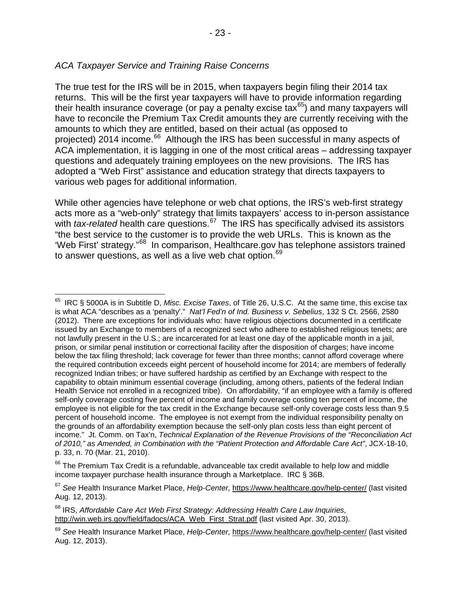## *ACA Taxpayer Service and Training Raise Concerns*

The true test for the IRS will be in 2015, when taxpayers begin filing their 2014 tax returns. This will be the first year taxpayers will have to provide information regarding their health insurance coverage (or pay a penalty excise tax<sup>[65](#page-24-0)</sup>) and many taxpayers will have to reconcile the Premium Tax Credit amounts they are currently receiving with the amounts to which they are entitled, based on their actual (as opposed to projected) 2014 income.<sup>[66](#page-24-1)</sup> Although the IRS has been successful in many aspects of ACA implementation, it is lagging in one of the most critical areas – addressing taxpayer questions and adequately training employees on the new provisions. The IRS has adopted a "Web First" assistance and education strategy that directs taxpayers to various web pages for additional information.

While other agencies have telephone or web chat options, the IRS's web-first strategy acts more as a "web-only" strategy that limits taxpayers' access to in-person assistance with *tax-related* health care questions.<sup>[67](#page-24-2)</sup> The IRS has specifically advised its assistors "the best service to the customer is to provide the web URLs. This is known as the 'Web First' strategy."[68](#page-24-3) In comparison, Healthcare.gov has telephone assistors trained to answer questions, as well as a live web chat option.<sup>[69](#page-24-4)</sup>

<span id="page-24-0"></span>IRC § 5000A is in Subtitle D, *Misc. Excise Taxes*, of Title 26, U.S.C. At the same time, this excise tax is what ACA "describes as a 'penalty'." *Nat'l Fed'n of Ind. Business v. Sebelius*, 132 S Ct. 2566, 2580 (2012). There are exceptions for individuals who: have religious objections documented in a certificate issued by an Exchange to members of a recognized sect who adhere to established religious tenets; are not lawfully present in the U.S.; are incarcerated for at least one day of the applicable month in a jail, prison, or similar penal institution or correctional facility after the disposition of charges; have income below the tax filing threshold; lack coverage for fewer than three months; cannot afford coverage where the required contribution exceeds eight percent of household income for 2014; are members of federally recognized Indian tribes; or have suffered hardship as certified by an Exchange with respect to the capability to obtain minimum essential coverage (including, among others, patients of the federal Indian Health Service not enrolled in a recognized tribe).On affordability, "if an employee with a family is offered self-only coverage costing five percent of income and family coverage costing ten percent of income, the employee is not eligible for the tax credit in the Exchange because self-only coverage costs less than 9.5 percent of household income. The employee is not exempt from the individual responsibility penalty on the grounds of an affordability exemption because the self-only plan costs less than eight percent of income." Jt. Comm. on Tax'n, *Technical Explanation of the Revenue Provisions of the "Reconciliation Act of 2010," as Amended, in Combination with the "Patient Protection and Affordable Care Act"*, JCX-18-10, p. 33, n. 70 (Mar. 21, 2010).

<span id="page-24-1"></span><sup>&</sup>lt;sup>66</sup> The Premium Tax Credit is a refundable, advanceable tax credit available to help low and middle income taxpayer purchase health insurance through a Marketplace. IRC § 36B.

<span id="page-24-2"></span><sup>67</sup> *See* Health Insurance Market Place, *Help-Center,* <https://www.healthcare.gov/help-center/> (last visited Aug. 12, 2013).

<span id="page-24-3"></span><sup>68</sup> IRS, *Affordable Care Act Web First Strategy: Addressing Health Care Law Inquiries,* [http://win.web.irs.gov/field/fadocs/ACA\\_Web\\_First\\_Strat.pdf](http://win.web.irs.gov/field/fadocs/ACA_Web_First_Strat.pdf) (last visited Apr. 30, 2013).

<span id="page-24-4"></span><sup>69</sup> *See* Health Insurance Market Place, *Help-Center,* <https://www.healthcare.gov/help-center/> (last visited Aug. 12, 2013).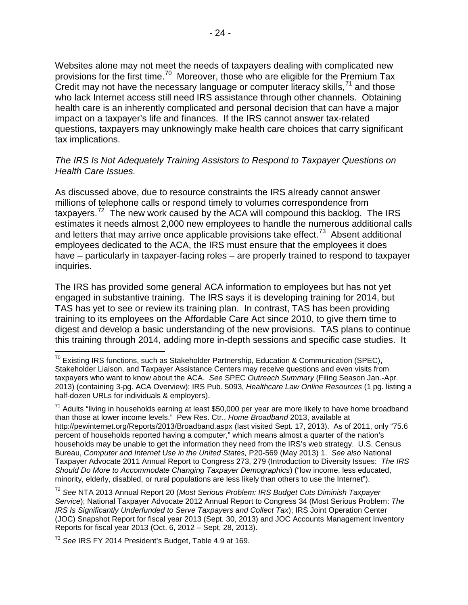Websites alone may not meet the needs of taxpayers dealing with complicated new provisions for the first time.[70](#page-25-0) Moreover, those who are eligible for the Premium Tax Credit may not have the necessary language or computer literacy skills,  $71$  and those who lack Internet access still need IRS assistance through other channels. Obtaining health care is an inherently complicated and personal decision that can have a major impact on a taxpayer's life and finances. If the IRS cannot answer tax-related questions, taxpayers may unknowingly make health care choices that carry significant tax implications.

#### *The IRS Is Not Adequately Training Assistors to Respond to Taxpayer Questions on Health Care Issues.*

As discussed above, due to resource constraints the IRS already cannot answer millions of telephone calls or respond timely to volumes correspondence from taxpayers.<sup>72</sup> The new work caused by the ACA will compound this backlog. The IRS estimates it needs almost 2,000 new employees to handle the numerous additional calls and letters that may arrive once applicable provisions take effect.<sup>[73](#page-25-3)</sup> Absent additional employees dedicated to the ACA, the IRS must ensure that the employees it does have – particularly in taxpayer-facing roles – are properly trained to respond to taxpayer inquiries.

The IRS has provided some general ACA information to employees but has not yet engaged in substantive training. The IRS says it is developing training for 2014, but TAS has yet to see or review its training plan. In contrast, TAS has been providing training to its employees on the Affordable Care Act since 2010, to give them time to digest and develop a basic understanding of the new provisions. TAS plans to continue this training through 2014, adding more in-depth sessions and specific case studies. It

<span id="page-25-0"></span> $70$  Existing IRS functions, such as Stakeholder Partnership, Education & Communication (SPEC), Stakeholder Liaison, and Taxpayer Assistance Centers may receive questions and even visits from taxpayers who want to know about the ACA. *See* SPEC *Outreach Summary* (Filing Season Jan.-Apr. 2013) (containing 3-pg. ACA Overview); IRS Pub. 5093, *Healthcare Law Online Resources* (1 pg. listing a half-dozen URLs for individuals & employers).

<span id="page-25-1"></span> $71$  Adults "living in households earning at least \$50,000 per year are more likely to have home broadband than those at lower income levels." Pew Res. Ctr., *Home Broadband* 2013, available at <http://pewinternet.org/Reports/2013/Broadband.aspx> (last visited Sept. 17, 2013). As of 2011, only "75.6 percent of households reported having a computer," which means almost a quarter of the nation's households may be unable to get the information they need from the IRS's web strategy. U.S. Census Bureau, *Computer and Internet Use in the United States,* P20-569 (May 2013) 1. *See also* National Taxpayer Advocate 2011 Annual Report to Congress 273, 279 (Introduction to Diversity Issues: *The IRS Should Do More to Accommodate Changing Taxpayer Demographics*) ("low income, less educated, minority, elderly, disabled, or rural populations are less likely than others to use the Internet").

<span id="page-25-2"></span><sup>72</sup> *See* NTA 2013 Annual Report 20 (*Most Serious Problem: IRS Budget Cuts Diminish Taxpayer Service*); National Taxpayer Advocate 2012 Annual Report to Congress 34 (Most Serious Problem: *The IRS Is Significantly Underfunded to Serve Taxpayers and Collect Tax*); IRS Joint Operation Center (JOC) Snapshot Report for fiscal year 2013 (Sept. 30, 2013) and JOC Accounts Management Inventory Reports for fiscal year 2013 (Oct. 6, 2012 – Sept, 28, 2013).

<span id="page-25-3"></span><sup>73</sup> *See* IRS FY 2014 President's Budget, Table 4.9 at 169.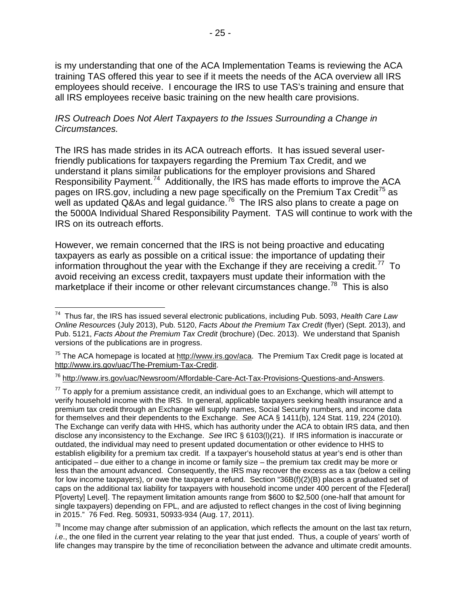is my understanding that one of the ACA Implementation Teams is reviewing the ACA training TAS offered this year to see if it meets the needs of the ACA overview all IRS employees should receive. I encourage the IRS to use TAS's training and ensure that all IRS employees receive basic training on the new health care provisions.

### *IRS Outreach Does Not Alert Taxpayers to the Issues Surrounding a Change in Circumstances.*

The IRS has made strides in its ACA outreach efforts. It has issued several userfriendly publications for taxpayers regarding the Premium Tax Credit, and we understand it plans similar publications for the employer provisions and Shared Responsibility Payment.<sup>74</sup> Additionally, the IRS has made efforts to improve the ACA pages on IRS.gov, including a new page specifically on the Premium Tax Credit<sup>[75](#page-26-1)</sup> as well as updated Q&As and legal guidance.<sup>76</sup> The IRS also plans to create a page on the 5000A Individual Shared Responsibility Payment. TAS will continue to work with the IRS on its outreach efforts.

However, we remain concerned that the IRS is not being proactive and educating taxpayers as early as possible on a critical issue: the importance of updating their information throughout the year with the Exchange if they are receiving a credit.<sup>[77](#page-26-3)</sup> To avoid receiving an excess credit, taxpayers must update their information with the marketplace if their income or other relevant circumstances change.<sup>[78](#page-26-4)</sup> This is also

<span id="page-26-4"></span> $78$  Income may change after submission of an application, which reflects the amount on the last tax return, *i.e*., the one filed in the current year relating to the year that just ended. Thus, a couple of years' worth of life changes may transpire by the time of reconciliation between the advance and ultimate credit amounts.

<span id="page-26-0"></span>74 Thus far, the IRS has issued several electronic publications, including Pub. 5093, *Health Care Law Online Resources* (July 2013), Pub. 5120, *Facts About the Premium Tax Credit* (flyer) (Sept. 2013), and Pub. 5121, *Facts About the Premium Tax Credit* (brochure) (Dec. 2013). We understand that Spanish versions of the publications are in progress.

<span id="page-26-1"></span> $75$  The ACA homepage is located at [http://www.irs.gov/aca.](http://www.irs.gov/aca) The Premium Tax Credit page is located at [http://www.irs.gov/uac/The-Premium-Tax-Credit.](http://www.irs.gov/uac/The-Premium-Tax-Credit)

<span id="page-26-2"></span><sup>76</sup> [http://www.irs.gov/uac/Newsroom/Affordable-Care-Act-Tax-Provisions-Questions-and-Answers.](http://www.irs.gov/uac/Newsroom/Affordable-Care-Act-Tax-Provisions-Questions-and-Answers)

<span id="page-26-3"></span> $77$  To apply for a premium assistance credit, an individual goes to an Exchange, which will attempt to verify household income with the IRS. In general, applicable taxpayers seeking health insurance and a premium tax credit through an Exchange will supply names, Social Security numbers, and income data for themselves and their dependents to the Exchange. *See* ACA § 1411(b), 124 Stat. 119, 224 (2010). The Exchange can verify data with HHS, which has authority under the ACA to obtain IRS data, and then disclose any inconsistency to the Exchange. *See* IRC § 6103(l)(21). If IRS information is inaccurate or outdated, the individual may need to present updated documentation or other evidence to HHS to establish eligibility for a premium tax credit. If a taxpayer's household status at year's end is other than anticipated – due either to a change in income or family size – the premium tax credit may be more or less than the amount advanced. Consequently, the IRS may recover the excess as a tax (below a ceiling for low income taxpayers), or owe the taxpayer a refund. Section "36B(f)(2)(B) places a graduated set of caps on the additional tax liability for taxpayers with household income under 400 percent of the F[ederal] P[overty] Level]. The repayment limitation amounts range from \$600 to \$2,500 (one-half that amount for single taxpayers) depending on FPL, and are adjusted to reflect changes in the cost of living beginning in 2015." 76 Fed. Reg. 50931, 50933-934 (Aug. 17, 2011).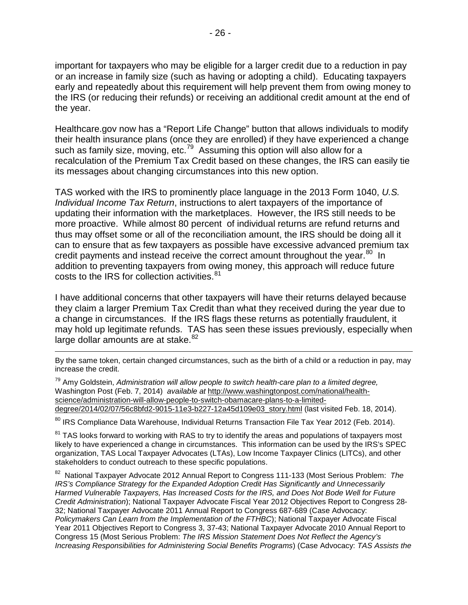important for taxpayers who may be eligible for a larger credit due to a reduction in pay or an increase in family size (such as having or adopting a child). Educating taxpayers early and repeatedly about this requirement will help prevent them from owing money to the IRS (or reducing their refunds) or receiving an additional credit amount at the end of the year.

Healthcare.gov now has a "Report Life Change" button that allows individuals to modify their health insurance plans (once they are enrolled) if they have experienced a change such as family size, moving, etc.<sup>[79](#page-27-0)</sup> Assuming this option will also allow for a recalculation of the Premium Tax Credit based on these changes, the IRS can easily tie its messages about changing circumstances into this new option.

TAS worked with the IRS to prominently place language in the 2013 Form 1040, *U.S. Individual Income Tax Return*, instructions to alert taxpayers of the importance of updating their information with the marketplaces. However, the IRS still needs to be more proactive. While almost 80 percent of individual returns are refund returns and thus may offset some or all of the reconciliation amount, the IRS should be doing all it can to ensure that as few taxpayers as possible have excessive advanced premium tax credit payments and instead receive the correct amount throughout the year.<sup>80</sup> In addition to preventing taxpayers from owing money, this approach will reduce future costs to the IRS for collection activities. [81](#page-27-2)

I have additional concerns that other taxpayers will have their returns delayed because they claim a larger Premium Tax Credit than what they received during the year due to a change in circumstances. If the IRS flags these returns as potentially fraudulent, it may hold up legitimate refunds. TAS has seen these issues previously, especially when large dollar amounts are at stake. [82](#page-27-3)

By the same token, certain changed circumstances, such as the birth of a child or a reduction in pay, may increase the credit.

<span id="page-27-0"></span><sup>79</sup> Amy Goldstein, *Administration will allow people to switch health-care plan to a limited degree,*  Washington Post (Feb. 7, 2014) *available at* [http://www.washingtonpost.com/national/health](http://www.washingtonpost.com/national/health-science/administration-will-allow-people-to-switch-obamacare-plans-to-a-limited-degree/2014/02/07/56c8bfd2-9015-11e3-b227-12a45d109e03_story.html)[science/administration-will-allow-people-to-switch-obamacare-plans-to-a-limited](http://www.washingtonpost.com/national/health-science/administration-will-allow-people-to-switch-obamacare-plans-to-a-limited-degree/2014/02/07/56c8bfd2-9015-11e3-b227-12a45d109e03_story.html)[degree/2014/02/07/56c8bfd2-9015-11e3-b227-12a45d109e03\\_story.html](http://www.washingtonpost.com/national/health-science/administration-will-allow-people-to-switch-obamacare-plans-to-a-limited-degree/2014/02/07/56c8bfd2-9015-11e3-b227-12a45d109e03_story.html) (last visited Feb. 18, 2014).

 $\overline{a}$ 

<span id="page-27-1"></span>80 IRS Compliance Data Warehouse, Individual Returns Transaction File Tax Year 2012 (Feb. 2014).

<span id="page-27-2"></span><sup>81</sup> TAS looks forward to working with RAS to try to identify the areas and populations of taxpayers most likely to have experienced a change in circumstances. This information can be used by the IRS's SPEC organization, TAS Local Taxpayer Advocates (LTAs), Low Income Taxpayer Clinics (LITCs), and other stakeholders to conduct outreach to these specific populations.

<span id="page-27-3"></span>82 National Taxpayer Advocate 2012 Annual Report to Congress 111-133 (Most Serious Problem: *The IRS's Compliance Strategy for the Expanded Adoption Credit Has Significantly and Unnecessarily Harmed Vulnerable Taxpayers, Has Increased Costs for the IRS, and Does Not Bode Well for Future Credit Administration*); National Taxpayer Advocate Fiscal Year 2012 Objectives Report to Congress 28- 32; National Taxpayer Advocate 2011 Annual Report to Congress 687-689 (Case Advocacy: *Policymakers Can Learn from the Implementation of the FTHBC*); National Taxpayer Advocate Fiscal Year 2011 Objectives Report to Congress 3, 37-43; National Taxpayer Advocate 2010 Annual Report to Congress 15 (Most Serious Problem: *The IRS Mission Statement Does Not Reflect the Agency's Increasing Responsibilities for Administering Social Benefits Programs*) (Case Advocacy: *TAS Assists the*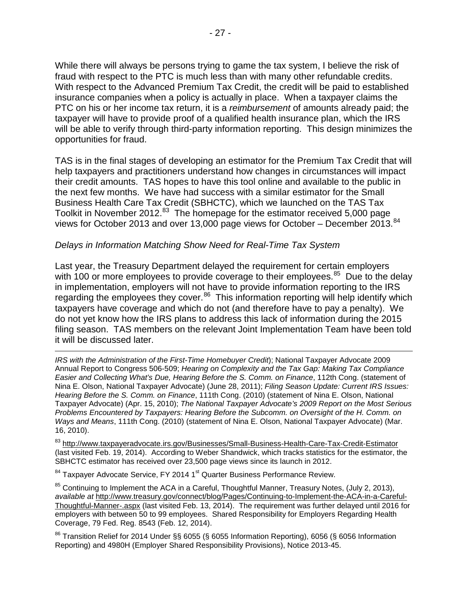While there will always be persons trying to game the tax system, I believe the risk of fraud with respect to the PTC is much less than with many other refundable credits. With respect to the Advanced Premium Tax Credit, the credit will be paid to established insurance companies when a policy is actually in place. When a taxpayer claims the PTC on his or her income tax return, it is a *reimbursement* of amounts already paid; the taxpayer will have to provide proof of a qualified health insurance plan, which the IRS will be able to verify through third-party information reporting. This design minimizes the opportunities for fraud.

TAS is in the final stages of developing an estimator for the Premium Tax Credit that will help taxpayers and practitioners understand how changes in circumstances will impact their credit amounts. TAS hopes to have this tool online and available to the public in the next few months. We have had success with a similar estimator for the Small Business Health Care Tax Credit (SBHCTC), which we launched on the TAS Tax Toolkit in November 2012.<sup>83</sup> The homepage for the estimator received 5,000 page views for October 2013 and over 13,000 page views for October – December 2013.<sup>[84](#page-28-1)</sup>

#### *Delays in Information Matching Show Need for Real-Time Tax System*

Last year, the Treasury Department delayed the requirement for certain employers with 100 or more employees to provide coverage to their employees.<sup>85</sup> Due to the delay in implementation, employers will not have to provide information reporting to the IRS regarding the employees they cover.<sup>86</sup> This information reporting will help identify which taxpayers have coverage and which do not (and therefore have to pay a penalty). We do not yet know how the IRS plans to address this lack of information during the 2015 filing season. TAS members on the relevant Joint Implementation Team have been told it will be discussed later.

 $\overline{a}$ *IRS with the Administration of the First-Time Homebuyer Credit*); National Taxpayer Advocate 2009 Annual Report to Congress 506-509; *Hearing on Complexity and the Tax Gap: Making Tax Compliance Easier and Collecting What's Due, Hearing Before the S. Comm. on Finance*, 112th Cong. (statement of Nina E. Olson, National Taxpayer Advocate) (June 28, 2011); *Filing Season Update: Current IRS Issues: Hearing Before the S. Comm. on Finance*, 111th Cong. (2010) (statement of Nina E. Olson, National Taxpayer Advocate) (Apr. 15, 2010); *The National Taxpayer Advocate's 2009 Report on the Most Serious Problems Encountered by Taxpayers: Hearing Before the Subcomm. on Oversight of the H. Comm. on Ways and Means*, 111th Cong. (2010) (statement of Nina E. Olson, National Taxpayer Advocate) (Mar. 16, 2010).

<span id="page-28-0"></span>83 <http://www.taxpayeradvocate.irs.gov/Businesses/Small-Business-Health-Care-Tax-Credit-Estimator> (last visited Feb. 19, 2014). According to Weber Shandwick, which tracks statistics for the estimator, the SBHCTC estimator has received over 23,500 page views since its launch in 2012.

<span id="page-28-1"></span><sup>84</sup> Taxpayer Advocate Service, FY 2014 1<sup>st</sup> Quarter Business Performance Review.

<span id="page-28-2"></span> $85$  Continuing to Implement the ACA in a Careful, Thoughtful Manner, Treasury Notes, (July 2, 2013), *available at* [http://www.treasury.gov/connect/blog/Pages/Continuing-to-Implement-the-ACA-in-a-Careful-](http://www.treasury.gov/connect/blog/Pages/Continuing-to-Implement-the-ACA-in-a-Careful-Thoughtful-Manner-.aspx)[Thoughtful-Manner-.aspx](http://www.treasury.gov/connect/blog/Pages/Continuing-to-Implement-the-ACA-in-a-Careful-Thoughtful-Manner-.aspx) (last visited Feb. 13, 2014). The requirement was further delayed until 2016 for employers with between 50 to 99 employees. Shared Responsibility for Employers Regarding Health Coverage, 79 Fed. Reg. 8543 (Feb. 12, 2014).

<span id="page-28-3"></span><sup>86</sup> Transition Relief for 2014 Under §§ 6055 (§ 6055 Information Reporting), 6056 (§ 6056 Information Reporting) and 4980H (Employer Shared Responsibility Provisions), Notice 2013-45.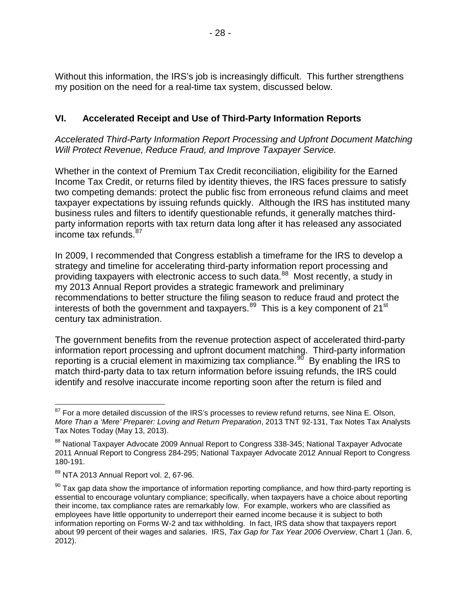Without this information, the IRS's job is increasingly difficult. This further strengthens my position on the need for a real-time tax system, discussed below.

# <span id="page-29-0"></span>**VI. Accelerated Receipt and Use of Third-Party Information Reports**

*Accelerated Third-Party Information Report Processing and Upfront Document Matching Will Protect Revenue, Reduce Fraud, and Improve Taxpayer Service.*

Whether in the context of Premium Tax Credit reconciliation, eligibility for the Earned Income Tax Credit, or returns filed by identity thieves, the IRS faces pressure to satisfy two competing demands: protect the public fisc from erroneous refund claims and meet taxpayer expectations by issuing refunds quickly. Although the IRS has instituted many business rules and filters to identify questionable refunds, it generally matches thirdparty information reports with tax return data long after it has released any associated income tax refunds.<sup>[87](#page-29-1)</sup>

In 2009, I recommended that Congress establish a timeframe for the IRS to develop a strategy and timeline for accelerating third-party information report processing and providing taxpayers with electronic access to such data.<sup>88</sup> Most recently, a study in my 2013 Annual Report provides a strategic framework and preliminary recommendations to better structure the filing season to reduce fraud and protect the interests of both the government and taxpayers. $89$  This is a key component of 21 $\mathrm{^{st}}$ century tax administration.

The government benefits from the revenue protection aspect of accelerated third-party information report processing and upfront document matching. Third-party information reporting is a crucial element in maximizing tax compliance.<sup>90</sup> By enabling the IRS to match third-party data to tax return information before issuing refunds, the IRS could identify and resolve inaccurate income reporting soon after the return is filed and

<span id="page-29-1"></span> $87$  For a more detailed discussion of the IRS's processes to review refund returns, see Nina E. Olson, *More Than a 'Mere' Preparer: Loving and Return Preparation*, 2013 TNT 92-131, Tax Notes Tax Analysts Tax Notes Today (May 13, 2013).

<span id="page-29-2"></span><sup>88</sup> National Taxpayer Advocate 2009 Annual Report to Congress 338-345; National Taxpayer Advocate 2011 Annual Report to Congress 284-295; National Taxpayer Advocate 2012 Annual Report to Congress 180-191.

<span id="page-29-3"></span><sup>89</sup> NTA 2013 Annual Report vol. 2, 67-96.

<span id="page-29-4"></span> $90$  Tax gap data show the importance of information reporting compliance, and how third-party reporting is essential to encourage voluntary compliance; specifically, when taxpayers have a choice about reporting their income, tax compliance rates are remarkably low. For example, workers who are classified as employees have little opportunity to underreport their earned income because it is subject to both information reporting on Forms W-2 and tax withholding. In fact, IRS data show that taxpayers report about 99 percent of their wages and salaries. IRS, *Tax Gap for Tax Year 2006 Overview*, Chart 1 (Jan. 6, 2012).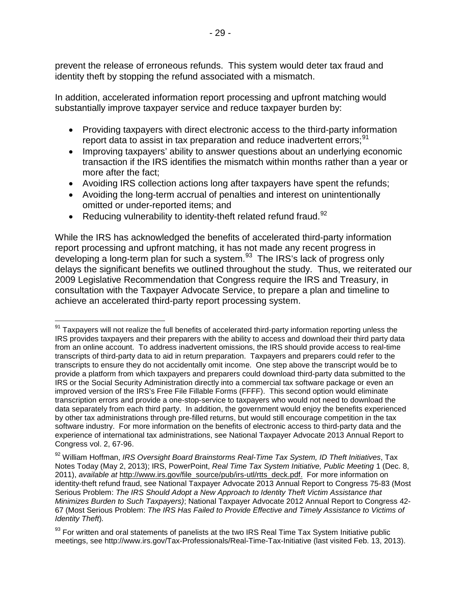prevent the release of erroneous refunds. This system would deter tax fraud and identity theft by stopping the refund associated with a mismatch.

In addition, accelerated information report processing and upfront matching would substantially improve taxpayer service and reduce taxpayer burden by:

- Providing taxpayers with direct electronic access to the third-party information report data to assist in tax preparation and reduce inadvertent errors;<sup>[91](#page-30-0)</sup>
- Improving taxpayers' ability to answer questions about an underlying economic transaction if the IRS identifies the mismatch within months rather than a year or more after the fact;
- Avoiding IRS collection actions long after taxpayers have spent the refunds;
- Avoiding the long-term accrual of penalties and interest on unintentionally omitted or under-reported items; and
- Reducing vulnerability to identity-theft related refund fraud.  $92$

While the IRS has acknowledged the benefits of accelerated third-party information report processing and upfront matching, it has not made any recent progress in developing a long-term plan for such a system.<sup>[93](#page-30-2)</sup> The IRS's lack of progress only delays the significant benefits we outlined throughout the study. Thus, we reiterated our 2009 Legislative Recommendation that Congress require the IRS and Treasury, in consultation with the Taxpayer Advocate Service, to prepare a plan and timeline to achieve an accelerated third-party report processing system.

<span id="page-30-0"></span> $91$  Taxpayers will not realize the full benefits of accelerated third-party information reporting unless the IRS provides taxpayers and their preparers with the ability to access and download their third party data from an online account. To address inadvertent omissions, the IRS should provide access to real-time transcripts of third-party data to aid in return preparation. Taxpayers and preparers could refer to the transcripts to ensure they do not accidentally omit income. One step above the transcript would be to provide a platform from which taxpayers and preparers could download third-party data submitted to the IRS or the Social Security Administration directly into a commercial tax software package or even an improved version of the IRS's Free File Fillable Forms (FFFF). This second option would eliminate transcription errors and provide a one-stop-service to taxpayers who would not need to download the data separately from each third party. In addition, the government would enjoy the benefits experienced by other tax administrations through pre-filled returns, but would still encourage competition in the tax software industry. For more information on the benefits of electronic access to third-party data and the experience of international tax administrations, see National Taxpayer Advocate 2013 Annual Report to Congress vol. 2, 67-96.

<span id="page-30-1"></span><sup>92</sup> William Hoffman, *IRS Oversight Board Brainstorms Real-Time Tax System, ID Theft Initiatives*, Tax Notes Today (May 2, 2013); IRS, PowerPoint, *Real Time Tax System Initiative, Public Meeting* 1 (Dec. 8, 2011), *available at* [http://www.irs.gov/file\\_source/pub/irs-utl/rtts\\_deck.pdf.](http://www.irs.gov/file_source/pub/irs-utl/rtts_deck.pdf) For more information on identity-theft refund fraud, see National Taxpayer Advocate 2013 Annual Report to Congress 75-83 (Most Serious Problem: *The IRS Should Adopt a New Approach to Identity Theft Victim Assistance that Minimizes Burden to Such Taxpayers)*; National Taxpayer Advocate 2012 Annual Report to Congress 42- 67 (Most Serious Problem: *The IRS Has Failed to Provide Effective and Timely Assistance to Victims of Identity Theft*)*.* 

<span id="page-30-2"></span><sup>&</sup>lt;sup>93</sup> For written and oral statements of panelists at the two IRS Real Time Tax System Initiative public meetings, see http://www.irs.gov/Tax-Professionals/Real-Time-Tax-Initiative (last visited Feb. 13, 2013).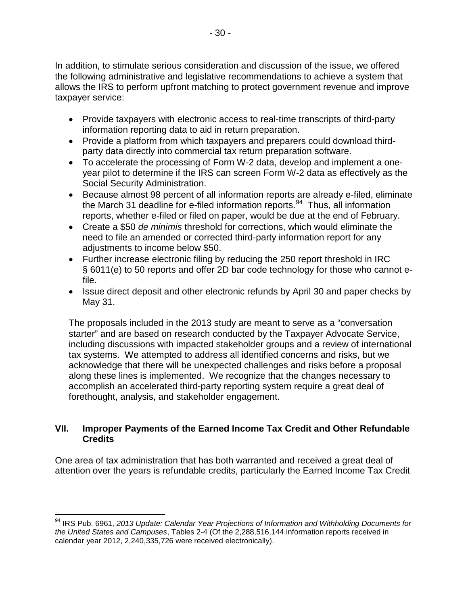In addition, to stimulate serious consideration and discussion of the issue, we offered the following administrative and legislative recommendations to achieve a system that allows the IRS to perform upfront matching to protect government revenue and improve taxpayer service:

- Provide taxpayers with electronic access to real-time transcripts of third-party information reporting data to aid in return preparation.
- Provide a platform from which taxpayers and preparers could download thirdparty data directly into commercial tax return preparation software.
- To accelerate the processing of Form W-2 data, develop and implement a oneyear pilot to determine if the IRS can screen Form W-2 data as effectively as the Social Security Administration.
- Because almost 98 percent of all information reports are already e-filed, eliminate the March 31 deadline for e-filed information reports. $94$  Thus, all information reports, whether e-filed or filed on paper, would be due at the end of February.
- Create a \$50 *de minimis* threshold for corrections, which would eliminate the need to file an amended or corrected third-party information report for any adjustments to income below \$50.
- Further increase electronic filing by reducing the 250 report threshold in IRC § 6011(e) to 50 reports and offer 2D bar code technology for those who cannot efile.
- Issue direct deposit and other electronic refunds by April 30 and paper checks by May 31.

The proposals included in the 2013 study are meant to serve as a "conversation starter" and are based on research conducted by the Taxpayer Advocate Service, including discussions with impacted stakeholder groups and a review of international tax systems. We attempted to address all identified concerns and risks, but we acknowledge that there will be unexpected challenges and risks before a proposal along these lines is implemented. We recognize that the changes necessary to accomplish an accelerated third-party reporting system require a great deal of forethought, analysis, and stakeholder engagement.

## <span id="page-31-0"></span>**VII. Improper Payments of the Earned Income Tax Credit and Other Refundable Credits**

One area of tax administration that has both warranted and received a great deal of attention over the years is refundable credits, particularly the Earned Income Tax Credit

<span id="page-31-1"></span><sup>94</sup> IRS Pub. 6961, *2013 Update: Calendar Year Projections of Information and Withholding Documents for the United States and Campuses*, Tables 2-4 (Of the 2,288,516,144 information reports received in calendar year 2012, 2,240,335,726 were received electronically).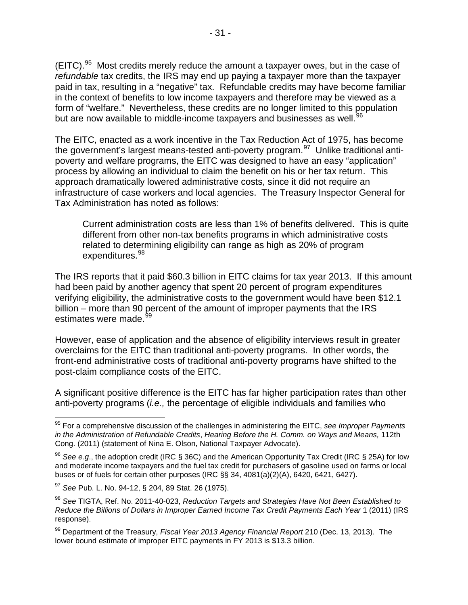$(EITC).<sup>95</sup>$  $(EITC).<sup>95</sup>$  $(EITC).<sup>95</sup>$  Most credits merely reduce the amount a taxpayer owes, but in the case of *refundable* tax credits, the IRS may end up paying a taxpayer more than the taxpayer paid in tax, resulting in a "negative" tax. Refundable credits may have become familiar in the context of benefits to low income taxpayers and therefore may be viewed as a form of "welfare." Nevertheless, these credits are no longer limited to this population but are now available to middle-income taxpayers and businesses as well.<sup>96</sup>

The EITC, enacted as a work incentive in the Tax Reduction Act of 1975, has become the government's largest means-tested anti-poverty program.<sup>[97](#page-32-2)</sup> Unlike traditional antipoverty and welfare programs, the EITC was designed to have an easy "application" process by allowing an individual to claim the benefit on his or her tax return. This approach dramatically lowered administrative costs, since it did not require an infrastructure of case workers and local agencies. The Treasury Inspector General for Tax Administration has noted as follows:

Current administration costs are less than 1% of benefits delivered. This is quite different from other non-tax benefits programs in which administrative costs related to determining eligibility can range as high as 20% of program expenditures.<sup>[98](#page-32-3)</sup>

The IRS reports that it paid \$60.3 billion in EITC claims for tax year 2013. If this amount had been paid by another agency that spent 20 percent of program expenditures verifying eligibility, the administrative costs to the government would have been \$12.1 billion – more than 90 percent of the amount of improper payments that the IRS estimates were made.<sup>[99](#page-32-4)</sup>

However, ease of application and the absence of eligibility interviews result in greater overclaims for the EITC than traditional anti-poverty programs. In other words, the front-end administrative costs of traditional anti-poverty programs have shifted to the post-claim compliance costs of the EITC.

A significant positive difference is the EITC has far higher participation rates than other anti-poverty programs (*i.e.,* the percentage of eligible individuals and families who

<span id="page-32-0"></span><sup>95</sup> For a comprehensive discussion of the challenges in administering the EITC, *see Improper Payments in the Administration of Refundable Credits*, *Hearing Before the H. Comm. on Ways and Means,* 112th Cong. (2011) (statement of Nina E. Olson, National Taxpayer Advocate).

<span id="page-32-1"></span><sup>96</sup> *See e.g*., the adoption credit (IRC § 36C) and the American Opportunity Tax Credit (IRC § 25A) for low and moderate income taxpayers and the fuel tax credit for purchasers of gasoline used on farms or local buses or of fuels for certain other purposes (IRC §§ 34, 4081(a)(2)(A), 6420, 6421, 6427).

<span id="page-32-2"></span><sup>97</sup> *See* Pub. L. No. 94-12, § 204, 89 Stat. 26 (1975).

<span id="page-32-3"></span><sup>98</sup> *See* TIGTA, Ref. No. 2011-40-023, *Reduction Targets and Strategies Have Not Been Established to*  Reduce the Billions of Dollars in Improper Earned Income Tax Credit Payments Each Year 1 (2011) (IRS response).

<span id="page-32-4"></span><sup>99</sup> Department of the Treasury, *Fiscal Year 2013 Agency Financial Report* 210 (Dec. 13, 2013). The lower bound estimate of improper EITC payments in FY 2013 is \$13.3 billion.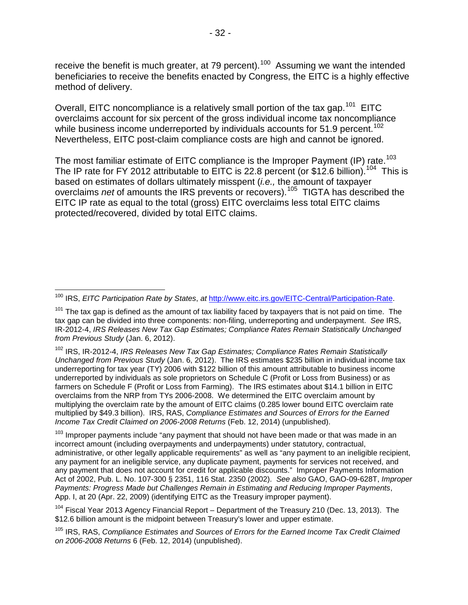receive the benefit is much greater, at 79 percent).<sup>[100](#page-33-0)</sup> Assuming we want the intended beneficiaries to receive the benefits enacted by Congress, the EITC is a highly effective method of delivery.

Overall, EITC noncompliance is a relatively small portion of the tax gap.<sup>[101](#page-33-1)</sup> EITC overclaims account for six percent of the gross individual income tax noncompliance while business income underreported by individuals accounts for  $51.9$  percent.<sup>[102](#page-33-2)</sup> Nevertheless, EITC post-claim compliance costs are high and cannot be ignored.

The most familiar estimate of EITC compliance is the Improper Payment (IP) rate.<sup>103</sup> The IP rate for FY 2012 attributable to EITC is 22.8 percent (or \$12.6 billion).<sup>104</sup> This is based on estimates of dollars ultimately misspent (*i.e.,* the amount of taxpayer overclaims *net* of amounts the IRS prevents or recovers). [105](#page-33-5) TIGTA has described the EITC IP rate as equal to the total (gross) EITC overclaims less total EITC claims protected/recovered, divided by total EITC claims.

<span id="page-33-2"></span><sup>102</sup> IRS, IR-2012-4, *IRS Releases New Tax Gap Estimates; Compliance Rates Remain Statistically Unchanged from Previous Study* (Jan. 6, 2012). The IRS estimates \$235 billion in individual income tax underreporting for tax year (TY) 2006 with \$122 billion of this amount attributable to business income underreported by individuals as sole proprietors on Schedule C (Profit or Loss from Business) or as farmers on Schedule F (Profit or Loss from Farming). The IRS estimates about \$14.1 billion in EITC overclaims from the NRP from TYs 2006-2008. We determined the EITC overclaim amount by multiplying the overclaim rate by the amount of EITC claims (0.285 lower bound EITC overclaim rate multiplied by \$49.3 billion). IRS, RAS, *Compliance Estimates and Sources of Errors for the Earned Income Tax Credit Claimed on 2006-2008 Returns* (Feb. 12, 2014) (unpublished).

<span id="page-33-3"></span> $103$  Improper payments include "any payment that should not have been made or that was made in an incorrect amount (including overpayments and underpayments) under statutory, contractual, administrative, or other legally applicable requirements" as well as "any payment to an ineligible recipient, any payment for an ineligible service, any duplicate payment, payments for services not received, and any payment that does not account for credit for applicable discounts." Improper Payments Information Act of 2002, Pub. L. No. 107-300 § 2351, 116 Stat. 2350 (2002). *See also* GAO, GAO-09-628T, *Improper Payments: Progress Made but Challenges Remain in Estimating and Reducing Improper Payments*, App. I, at 20 (Apr. 22, 2009) (identifying EITC as the Treasury improper payment).

<span id="page-33-4"></span><sup>104</sup> Fiscal Year 2013 Agency Financial Report – Department of the Treasury 210 (Dec. 13, 2013). The \$12.6 billion amount is the midpoint between Treasury's lower and upper estimate.

<span id="page-33-5"></span><sup>105</sup> IRS, RAS, *Compliance Estimates and Sources of Errors for the Earned Income Tax Credit Claimed on 2006-2008 Returns* 6 (Feb. 12, 2014) (unpublished).

<span id="page-33-0"></span><sup>100</sup> IRS, *EITC Participation Rate by States*, *at* [http://www.eitc.irs.gov/EITC-Central/Participation-Rate.](http://www.eitc.irs.gov/EITC-Central/Participation-Rate)

<span id="page-33-1"></span> $101$  The tax gap is defined as the amount of tax liability faced by taxpayers that is not paid on time. The tax gap can be divided into three components: non-filing, underreporting and underpayment. *See* IRS, IR-2012-4, *IRS Releases New Tax Gap Estimates; Compliance Rates Remain Statistically Unchanged from Previous Study* (Jan. 6, 2012).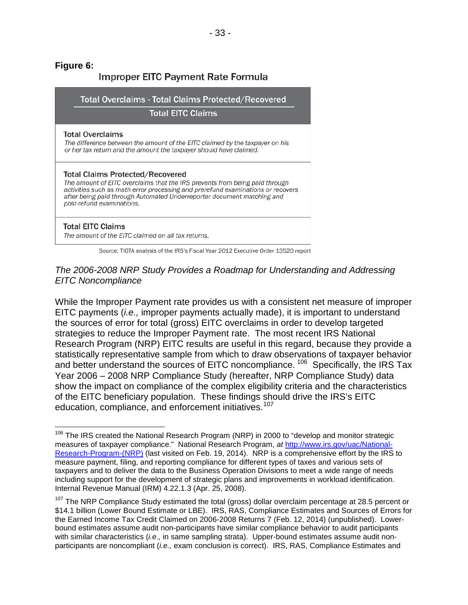### **Figure 6:**

| Improper EITC Payment Rate Formula                                                                                                                                                                                                                                                                               |  |  |  |  |
|------------------------------------------------------------------------------------------------------------------------------------------------------------------------------------------------------------------------------------------------------------------------------------------------------------------|--|--|--|--|
| <b>Total Overclaims - Total Claims Protected/Recovered</b><br><b>Total EITC Claims</b>                                                                                                                                                                                                                           |  |  |  |  |
| <b>Total Overclaims</b><br>The difference between the amount of the EITC claimed by the taxpayer on his<br>or her tax return and the amount the taxpayer should have claimed.                                                                                                                                    |  |  |  |  |
| <b>Total Claims Protected/Recovered</b><br>The amount of EITC overclaims that the IRS prevents from being paid through<br>activities such as math error processing and prerefund examinations or recovers<br>after being paid through Automated Underreporter document matching and<br>post-refund examinations. |  |  |  |  |
| <b>Total EITC Claims</b><br>The amount of the EITC claimed on all tax returns.                                                                                                                                                                                                                                   |  |  |  |  |

Source: TIGTA analysis of the IRS's Fiscal Year 2012 Executive Order 13520 report

#### *The 2006-2008 NRP Study Provides a Roadmap for Understanding and Addressing EITC Noncompliance*

While the Improper Payment rate provides us with a consistent net measure of improper EITC payments (*i.e.,* improper payments actually made), it is important to understand the sources of error for total (gross) EITC overclaims in order to develop targeted strategies to reduce the Improper Payment rate. The most recent IRS National Research Program (NRP) EITC results are useful in this regard, because they provide a statistically representative sample from which to draw observations of taxpayer behavior and better understand the sources of EITC noncompliance.<sup>[106](#page-34-0)</sup> Specifically, the IRS Tax Year 2006 – 2008 NRP Compliance Study (hereafter, NRP Compliance Study) data show the impact on compliance of the complex eligibility criteria and the characteristics of the EITC beneficiary population. These findings should drive the IRS's EITC education, compliance, and enforcement initiatives.<sup>[107](#page-34-1)</sup>

<span id="page-34-0"></span><sup>&</sup>lt;sup>106</sup> The IRS created the National Research Program (NRP) in 2000 to "develop and monitor strategic measures of taxpayer compliance." National Research Program, *at* [http://www.irs.gov/uac/National-](http://www.irs.gov/uac/National-Research-Program-(NRP))[Research-Program-\(NRP\)](http://www.irs.gov/uac/National-Research-Program-(NRP)) (last visited on Feb. 19, 2014). NRP is a comprehensive effort by the IRS to measure payment, filing, and reporting compliance for different types of taxes and various sets of taxpayers and to deliver the data to the Business Operation Divisions to meet a wide range of needs including support for the development of strategic plans and improvements in workload identification. Internal Revenue Manual (IRM) 4.22.1.3 (Apr. 25, 2008).

<span id="page-34-1"></span> $107$  The NRP Compliance Study estimated the total (gross) dollar overclaim percentage at 28.5 percent or \$14.1 billion (Lower Bound Estimate or LBE). IRS, RAS, Compliance Estimates and Sources of Errors for the Earned Income Tax Credit Claimed on 2006-2008 Returns 7 (Feb. 12, 2014) (unpublished). Lowerbound estimates assume audit non-participants have similar compliance behavior to audit participants with similar characteristics (*i.e*., in same sampling strata). Upper-bound estimates assume audit nonparticipants are noncompliant (*i.e.,* exam conclusion is correct). IRS, RAS, Compliance Estimates and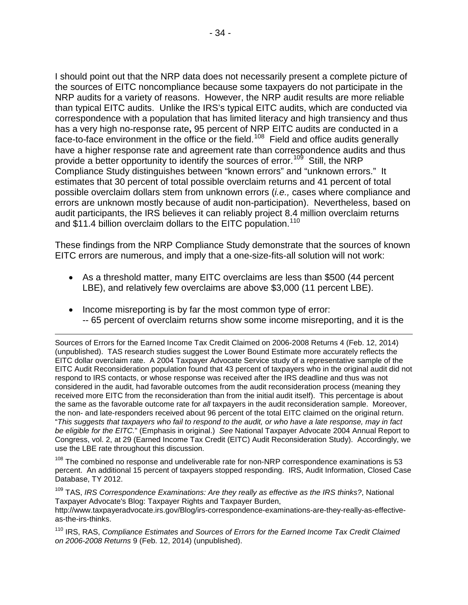I should point out that the NRP data does not necessarily present a complete picture of the sources of EITC noncompliance because some taxpayers do not participate in the NRP audits for a variety of reasons. However, the NRP audit results are more reliable than typical EITC audits. Unlike the IRS's typical EITC audits, which are conducted via correspondence with a population that has limited literacy and high transiency and thus has a very high no-response rate**,** 95 percent of NRP EITC audits are conducted in a face-to-face environment in the office or the field.<sup>[108](#page-35-0)</sup> Field and office audits generally have a higher response rate and agreement rate than correspondence audits and thus provide a better opportunity to identify the sources of error.<sup>[109](#page-35-1)</sup> Still, the NRP Compliance Study distinguishes between "known errors" and "unknown errors." It estimates that 30 percent of total possible overclaim returns and 41 percent of total possible overclaim dollars stem from unknown errors (*i.e.,* cases where compliance and errors are unknown mostly because of audit non-participation). Nevertheless, based on audit participants, the IRS believes it can reliably project 8.4 million overclaim returns and \$11.4 billion overclaim dollars to the EITC population.<sup>[110](#page-35-2)</sup>

These findings from the NRP Compliance Study demonstrate that the sources of known EITC errors are numerous, and imply that a one-size-fits-all solution will not work:

- As a threshold matter, many EITC overclaims are less than \$500 (44 percent LBE), and relatively few overclaims are above \$3,000 (11 percent LBE).
- Income misreporting is by far the most common type of error: -- 65 percent of overclaim returns show some income misreporting, and it is the

 $\overline{a}$ Sources of Errors for the Earned Income Tax Credit Claimed on 2006-2008 Returns 4 (Feb. 12, 2014) (unpublished). TAS research studies suggest the Lower Bound Estimate more accurately reflects the EITC dollar overclaim rate. A 2004 Taxpayer Advocate Service study of a representative sample of the EITC Audit Reconsideration population found that 43 percent of taxpayers who in the original audit did not respond to IRS contacts, or whose response was received after the IRS deadline and thus was not considered in the audit, had favorable outcomes from the audit reconsideration process (meaning they received more EITC from the reconsideration than from the initial audit itself). This percentage is about the same as the favorable outcome rate for *all* taxpayers in the audit reconsideration sample. Moreover, the non- and late-responders received about 96 percent of the total EITC claimed on the original return. "*This suggests that taxpayers who fail to respond to the audit, or who have a late response, may in fact be eligible for the EITC.*" (Emphasis in original.) *See* National Taxpayer Advocate 2004 Annual Report to Congress, vol. 2, at 29 (Earned Income Tax Credit (EITC) Audit Reconsideration Study). Accordingly, we use the LBE rate throughout this discussion.

<span id="page-35-0"></span> $108$  The combined no response and undeliverable rate for non-NRP correspondence examinations is 53 percent. An additional 15 percent of taxpayers stopped responding. IRS, Audit Information, Closed Case Database, TY 2012.

<span id="page-35-1"></span><sup>109</sup> TAS, *IRS Correspondence Examinations: Are they really as effective as the IRS thinks?*, National Taxpayer Advocate's Blog: Taxpayer Rights and Taxpayer Burden, http://www.taxpayeradvocate.irs.gov/Blog/irs-correspondence-examinations-are-they-really-as-effectiveas-the-irs-thinks.

<span id="page-35-2"></span><sup>110</sup> IRS, RAS, *Compliance Estimates and Sources of Errors for the Earned Income Tax Credit Claimed on 2006-2008 Returns* 9 (Feb. 12, 2014) (unpublished).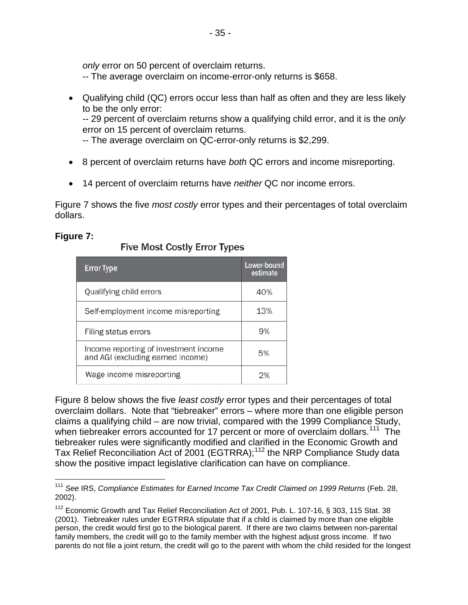*only* error on 50 percent of overclaim returns.

- -- The average overclaim on income-error-only returns is \$658.
- Qualifying child (QC) errors occur less than half as often and they are less likely to be the only error: -- 29 percent of overclaim returns show a qualifying child error, and it is the *only*

error on 15 percent of overclaim returns.

- -- The average overclaim on QC-error-only returns is \$2,299.
- 8 percent of overclaim returns have *both* QC errors and income misreporting.
- 14 percent of overclaim returns have *neither* QC nor income errors.

Figure 7 shows the five *most costly* error types and their percentages of total overclaim dollars.

# **Figure 7:**

| <b>Error Type</b>                                                          | Lower-bound<br>estimate |
|----------------------------------------------------------------------------|-------------------------|
| Qualifying child errors                                                    | 40%                     |
| Self-employment income misreporting                                        | 13%                     |
| Filing status errors                                                       | 9%                      |
| Income reporting of investment income<br>and AGI (excluding earned income) | 5%                      |
| Wage income misreporting                                                   | つ%                      |

## **Five Most Costly Error Types**

Figure 8 below shows the five *least costly* error types and their percentages of total overclaim dollars. Note that "tiebreaker" errors – where more than one eligible person claims a qualifying child – are now trivial, compared with the 1999 Compliance Study, when tiebreaker errors accounted for 17 percent or more of overclaim dollars.<sup>111</sup> The tiebreaker rules were significantly modified and clarified in the Economic Growth and Tax Relief Reconciliation Act of 2001 (EGTRRA);<sup>[112](#page-36-1)</sup> the NRP Compliance Study data show the positive impact legislative clarification can have on compliance.

<span id="page-36-0"></span><sup>111</sup> *See* IRS, *Compliance Estimates for Earned Income Tax Credit Claimed on 1999 Returns* (Feb. 28, 2002).

<span id="page-36-1"></span><sup>&</sup>lt;sup>112</sup> Economic Growth and Tax Relief Reconciliation Act of 2001, Pub. L. 107-16, § 303, 115 Stat. 38 (2001). Tiebreaker rules under EGTRRA stipulate that if a child is claimed by more than one eligible person, the credit would first go to the biological parent. If there are two claims between non-parental family members, the credit will go to the family member with the highest adjust gross income. If two parents do not file a joint return, the credit will go to the parent with whom the child resided for the longest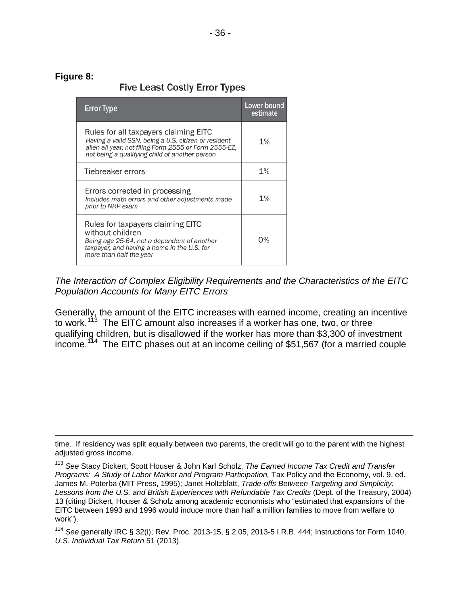#### **Figure 8:**

 $\overline{a}$ 

# **Five Least Costly Error Types**

| <b>Error Type</b>                                                                                                                                                                                        | Lower-bound<br>estimate |
|----------------------------------------------------------------------------------------------------------------------------------------------------------------------------------------------------------|-------------------------|
| Rules for all taxpayers claiming EITC<br>Having a valid SSN, being a U.S. citizen or resident<br>alien all year, not filing Form 2555 or Form 2555-EZ,<br>not being a qualifying child of another person | 1%                      |
| Tiebreaker errors                                                                                                                                                                                        | 1%                      |
| Errors corrected in processing<br>Includes math errors and other adjustments made<br>prior to NRP exam                                                                                                   | 1%                      |
| Rules for taxpayers claiming EITC<br>without children<br>Being age 25-64, not a dependent of another<br>taxpayer, and having a home in the U.S. for<br>more than half the year                           | О%                      |

*The Interaction of Complex Eligibility Requirements and the Characteristics of the EITC Population Accounts for Many EITC Errors*

Generally, the amount of the EITC increases with earned income, creating an incentive to work.<sup>113</sup> The EITC amount also increases if a worker has one, two, or three qualifying children, but is disallowed if the worker has more than \$3,300 of investment  $income.$ <sup>114</sup> The EITC phases out at an income ceiling of \$51,567 (for a married couple

time. If residency was split equally between two parents, the credit will go to the parent with the highest adjusted gross income.

<span id="page-37-0"></span><sup>113</sup> *See* Stacy Dickert, Scott Houser & John Karl Scholz, *The Earned Income Tax Credit and Transfer Programs: A Study of Labor Market and Program Participation,* Tax Policy and the Economy, vol. 9, ed. James M. Poterba (MIT Press, 1995); Janet Holtzblatt, *Trade-offs Between Targeting and Simplicity: Lessons from the U.S. and British Experiences with Refundable Tax Credits* (Dept. of the Treasury, 2004) 13 (citing Dickert, Houser & Scholz among academic economists who "estimated that expansions of the EITC between 1993 and 1996 would induce more than half a million families to move from welfare to work").

<span id="page-37-1"></span><sup>114</sup> *See* generally IRC § 32(i); Rev. Proc. 2013-15, § 2.05, 2013-5 I.R.B. 444; Instructions for Form 1040, *U.S. Individual Tax Return* 51 (2013).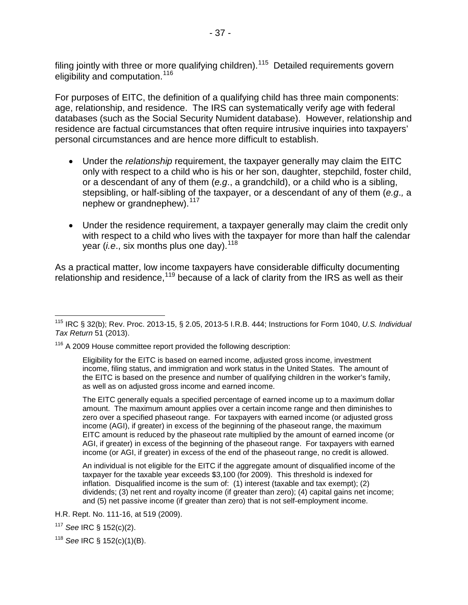filing jointly with three or more qualifying children).<sup>[115](#page-38-0)</sup> Detailed requirements govern eligibility and computation.<sup>[116](#page-38-1)</sup>

For purposes of EITC, the definition of a qualifying child has three main components: age, relationship, and residence. The IRS can systematically verify age with federal databases (such as the Social Security Numident database). However, relationship and residence are factual circumstances that often require intrusive inquiries into taxpayers' personal circumstances and are hence more difficult to establish.

- Under the *relationship* requirement, the taxpayer generally may claim the EITC only with respect to a child who is his or her son, daughter, stepchild, foster child, or a descendant of any of them (*e.g*., a grandchild), or a child who is a sibling, stepsibling, or half-sibling of the taxpayer, or a descendant of any of them (*e.g*.*,* a nephew or grandnephew).<sup>[117](#page-38-2)</sup>
- Under the residence requirement, a taxpayer generally may claim the credit only with respect to a child who lives with the taxpayer for more than half the calendar year *(i.e.*, six months plus one day).<sup>[118](#page-38-3)</sup>

As a practical matter, low income taxpayers have considerable difficulty documenting relationship and residence,<sup>[119](#page-38-4)</sup> because of a lack of clarity from the IRS as well as their

<span id="page-38-0"></span><sup>115</sup> IRC § 32(b); Rev. Proc. 2013-15, § 2.05, 2013-5 I.R.B. 444; Instructions for Form 1040, *U.S. Individual Tax Return* 51 (2013).

<span id="page-38-4"></span><span id="page-38-1"></span><sup>&</sup>lt;sup>116</sup> A 2009 House committee report provided the following description:

Eligibility for the EITC is based on earned income, adjusted gross income, investment income, filing status, and immigration and work status in the United States. The amount of the EITC is based on the presence and number of qualifying children in the worker's family, as well as on adjusted gross income and earned income.

The EITC generally equals a specified percentage of earned income up to a maximum dollar amount. The maximum amount applies over a certain income range and then diminishes to zero over a specified phaseout range. For taxpayers with earned income (or adjusted gross income (AGI), if greater) in excess of the beginning of the phaseout range, the maximum EITC amount is reduced by the phaseout rate multiplied by the amount of earned income (or AGI, if greater) in excess of the beginning of the phaseout range. For taxpayers with earned income (or AGI, if greater) in excess of the end of the phaseout range, no credit is allowed.

An individual is not eligible for the EITC if the aggregate amount of disqualified income of the taxpayer for the taxable year exceeds \$3,100 (for 2009). This threshold is indexed for inflation. Disqualified income is the sum of: (1) interest (taxable and tax exempt); (2) dividends; (3) net rent and royalty income (if greater than zero); (4) capital gains net income; and (5) net passive income (if greater than zero) that is not self-employment income.

H.R. Rept. No. 111-16, at 519 (2009).

<span id="page-38-2"></span><sup>117</sup> *See* IRC § 152(c)(2).

<span id="page-38-3"></span><sup>118</sup> *See* IRC § 152(c)(1)(B).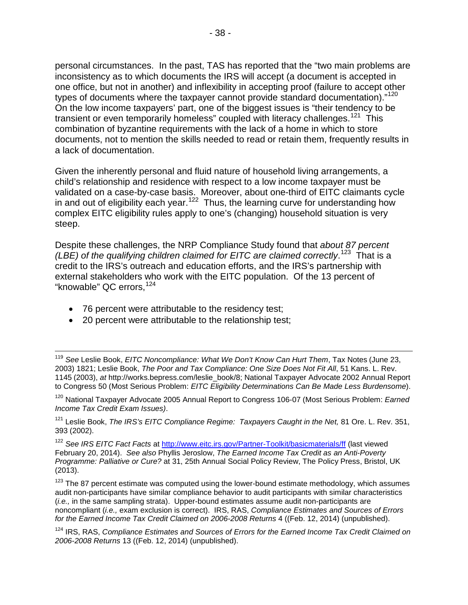personal circumstances. In the past, TAS has reported that the "two main problems are inconsistency as to which documents the IRS will accept (a document is accepted in one office, but not in another) and inflexibility in accepting proof (failure to accept other types of documents where the taxpayer cannot provide standard documentation)."<sup>120</sup> On the low income taxpayers' part, one of the biggest issues is "their tendency to be transient or even temporarily homeless" coupled with literacy challenges.<sup>[121](#page-39-1)</sup> This combination of byzantine requirements with the lack of a home in which to store documents, not to mention the skills needed to read or retain them, frequently results in a lack of documentation.

Given the inherently personal and fluid nature of household living arrangements, a child's relationship and residence with respect to a low income taxpayer must be validated on a case-by-case basis. Moreover, about one-third of EITC claimants cycle in and out of eligibility each year.<sup>122</sup> Thus, the learning curve for understanding how complex EITC eligibility rules apply to one's (changing) household situation is very steep.

Despite these challenges, the NRP Compliance Study found that *about 87 percent (LBE) of the qualifying children claimed for EITC are claimed correctly*. [123](#page-39-3) That is a credit to the IRS's outreach and education efforts, and the IRS's partnership with external stakeholders who work with the EITC population. Of the 13 percent of "knowable" QC errors.<sup>[124](#page-39-4)</sup>

- 76 percent were attributable to the residency test;
- 20 percent were attributable to the relationship test;

<span id="page-39-1"></span><sup>121</sup> Leslie Book, *The IRS's EITC Compliance Regime: Taxpayers Caught in the Net,* 81 Ore. L. Rev. 351, 393 (2002).

<span id="page-39-2"></span><sup>122</sup> *See IRS EITC Fact Facts* at<http://www.eitc.irs.gov/Partner-Toolkit/basicmaterials/ff> (last viewed February 20, 2014). *See also* Phyllis Jeroslow, *The Earned Income Tax Credit as an Anti-Poverty Programme: Palliative or Cure?* at 31, 25th Annual Social Policy Review, The Policy Press, Bristol, UK (2013).

<span id="page-39-3"></span> $123$  The 87 percent estimate was computed using the lower-bound estimate methodology, which assumes audit non-participants have similar compliance behavior to audit participants with similar characteristics (*i.e.,* in the same sampling strata). Upper-bound estimates assume audit non-participants are noncompliant (*i.e.,* exam exclusion is correct). IRS, RAS, *Compliance Estimates and Sources of Errors*  for the Earned Income Tax Credit Claimed on 2006-2008 Returns 4 ((Feb. 12, 2014) (unpublished).

<span id="page-39-4"></span><sup>124</sup> IRS, RAS, *Compliance Estimates and Sources of Errors for the Earned Income Tax Credit Claimed on 2006-2008 Returns* 13 ((Feb. 12, 2014) (unpublished).

<sup>119</sup> *See* Leslie Book, *EITC Noncompliance: What We Don't Know Can Hurt Them*, Tax Notes (June 23, 2003) 1821; Leslie Book, *The Poor and Tax Compliance: One Size Does Not Fit All*, 51 Kans. L. Rev. 1145 (2003), *at* http://works.bepress.com/leslie\_book/8; National Taxpayer Advocate 2002 Annual Report to Congress 50 (Most Serious Problem: *EITC Eligibility Determinations Can Be Made Less Burdensome*).

<span id="page-39-0"></span><sup>120</sup> National Taxpayer Advocate 2005 Annual Report to Congress 106-07 (Most Serious Problem: *Earned Income Tax Credit Exam Issues)*.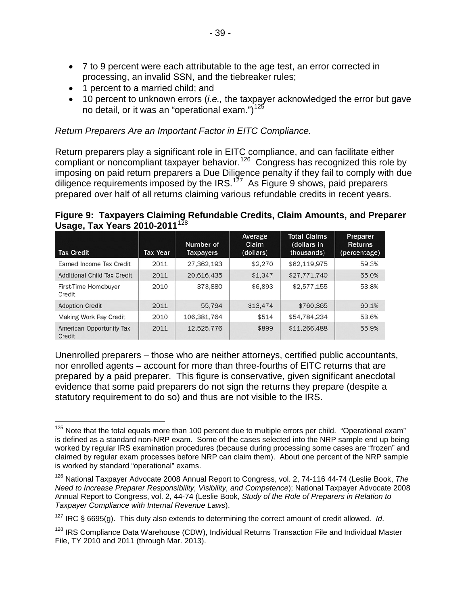- 7 to 9 percent were each attributable to the age test, an error corrected in processing, an invalid SSN, and the tiebreaker rules;
- 1 percent to a married child; and
- 10 percent to unknown errors (*i.e.,* the taxpayer acknowledged the error but gave no detail, or it was an "operational exam.") $125$

#### *Return Preparers Are an Important Factor in EITC Compliance.*

Return preparers play a significant role in EITC compliance, and can facilitate either compliant or noncompliant taxpayer behavior.<sup>126</sup> Congress has recognized this role by imposing on paid return preparers a Due Diligence penalty if they fail to comply with due diligence requirements imposed by the IRS.<sup>[127](#page-40-2)</sup> As Figure 9 shows, paid preparers prepared over half of all returns claiming various refundable credits in recent years.

#### **Figure 9: Taxpayers Claiming Refundable Credits, Claim Amounts, and Preparer Usage, Tax Years 2010-2011**<sup>[128](#page-40-3)</sup>

| <b>Tax Credit</b>                  | Tax Year | Number of<br>Taxpayers | Average<br><b>Claim</b><br>(dollars) | <b>Total Claims</b><br>(dollars in<br>thousands) | Preparer<br><b>Returns</b><br>(percentage) |
|------------------------------------|----------|------------------------|--------------------------------------|--------------------------------------------------|--------------------------------------------|
| Earned Income Tax Credit           | 2011     | 27,362,193             | \$2,270                              | \$62,119,975                                     | 59.3%                                      |
| Additional Child Tax Credit        | 2011     | 20,616,435             | \$1,347                              | \$27,771,740                                     | 65.0%                                      |
| First-Time Homebuyer<br>Credit     | 2010     | 373,880                | \$6,893                              | \$2,577,155                                      | 53.8%                                      |
| <b>Adoption Credit</b>             | 2011     | 55.794                 | \$13,474                             | \$760,365                                        | 60.1%                                      |
| <b>Making Work Pay Credit</b>      | 2010     | 106,381,764            | \$514                                | \$54,784,234                                     | 53.6%                                      |
| American Opportunity Tax<br>Credit | 2011     | 12.525.776             | \$899                                | \$11,266,488                                     | 55.9%                                      |

Unenrolled preparers – those who are neither attorneys, certified public accountants, nor enrolled agents – account for more than three-fourths of EITC returns that are prepared by a paid preparer. This figure is conservative, given significant anecdotal evidence that some paid preparers do not sign the returns they prepare (despite a statutory requirement to do so) and thus are not visible to the IRS.

<span id="page-40-0"></span> $125$  Note that the total equals more than 100 percent due to multiple errors per child. "Operational exam" is defined as a standard non-NRP exam. Some of the cases selected into the NRP sample end up being worked by regular IRS examination procedures (because during processing some cases are "frozen" and claimed by regular exam processes before NRP can claim them). About one percent of the NRP sample is worked by standard "operational" exams.

<span id="page-40-1"></span><sup>126</sup> National Taxpayer Advocate 2008 Annual Report to Congress, vol. 2, 74-116 44-74 (Leslie Book, *The Need to Increase Preparer Responsibility, Visibility, and Competence*); National Taxpayer Advocate 2008 Annual Report to Congress, vol. 2, 44-74 (Leslie Book, *Study of the Role of Preparers in Relation to Taxpayer Compliance with Internal Revenue Laws*).

<span id="page-40-2"></span><sup>127</sup> IRC § 6695(g). This duty also extends to determining the correct amount of credit allowed. *Id*.

<span id="page-40-3"></span><sup>&</sup>lt;sup>128</sup> IRS Compliance Data Warehouse (CDW), Individual Returns Transaction File and Individual Master File, TY 2010 and 2011 (through Mar. 2013).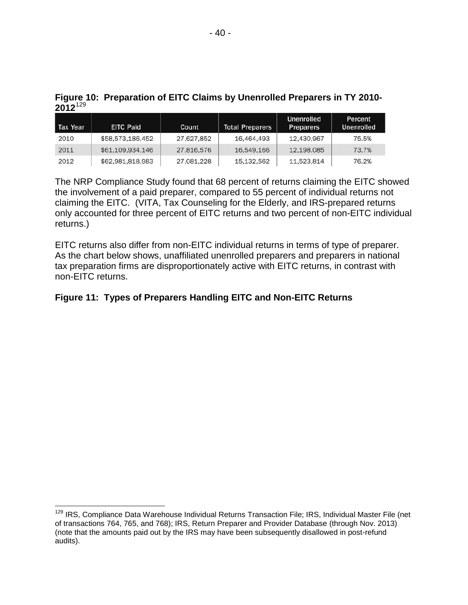| ----     |                  |            |                        |                                       |                       |  |  |
|----------|------------------|------------|------------------------|---------------------------------------|-----------------------|--|--|
| Tax Year | <b>EITC Paid</b> | Count      | <b>Total Preparers</b> | <b>Unenrolled</b><br><b>Preparers</b> | Percent<br>Unenrolled |  |  |
| 2010     | \$58,573,186,452 | 27,627,852 | 16,464,493             | 12,430,967                            | 75.5%                 |  |  |
| 2011     | \$61,109,934,146 | 27,816,576 | 16,549,166             | 12,198,085                            | 73.7%                 |  |  |
| 2012     | \$62,981,818,983 | 27,081,228 | 15,132,562             | 11,523,814                            | 76.2%                 |  |  |

### **Figure 10: Preparation of EITC Claims by Unenrolled Preparers in TY 2010- 2012**[129](#page-41-0)

The NRP Compliance Study found that 68 percent of returns claiming the EITC showed the involvement of a paid preparer, compared to 55 percent of individual returns not claiming the EITC. (VITA, Tax Counseling for the Elderly, and IRS-prepared returns only accounted for three percent of EITC returns and two percent of non-EITC individual returns.)

EITC returns also differ from non-EITC individual returns in terms of type of preparer. As the chart below shows, unaffiliated unenrolled preparers and preparers in national tax preparation firms are disproportionately active with EITC returns, in contrast with non-EITC returns.

# **Figure 11: Types of Preparers Handling EITC and Non-EITC Returns**

<span id="page-41-0"></span><sup>&</sup>lt;sup>129</sup> IRS, Compliance Data Warehouse Individual Returns Transaction File; IRS, Individual Master File (net of transactions 764, 765, and 768); IRS, Return Preparer and Provider Database (through Nov. 2013) (note that the amounts paid out by the IRS may have been subsequently disallowed in post-refund audits).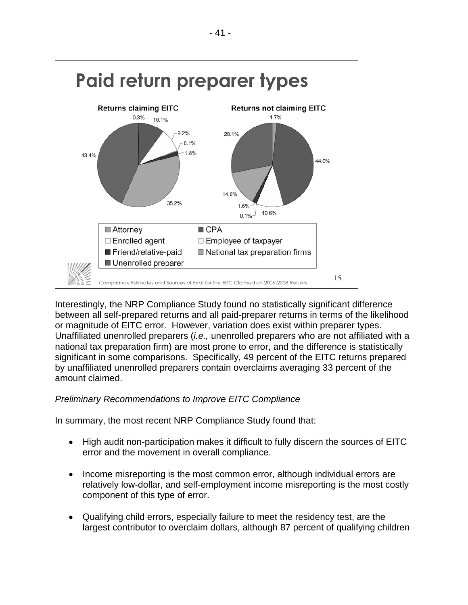

Interestingly, the NRP Compliance Study found no statistically significant difference between all self-prepared returns and all paid-preparer returns in terms of the likelihood or magnitude of EITC error. However, variation does exist within preparer types. Unaffiliated unenrolled preparers (*i.e.,* unenrolled preparers who are not affiliated with a national tax preparation firm) are most prone to error, and the difference is statistically significant in some comparisons. Specifically, 49 percent of the EITC returns prepared by unaffiliated unenrolled preparers contain overclaims averaging 33 percent of the amount claimed.

# *Preliminary Recommendations to Improve EITC Compliance*

In summary, the most recent NRP Compliance Study found that:

- High audit non-participation makes it difficult to fully discern the sources of EITC error and the movement in overall compliance.
- Income misreporting is the most common error, although individual errors are relatively low-dollar, and self-employment income misreporting is the most costly component of this type of error.
- Qualifying child errors, especially failure to meet the residency test, are the largest contributor to overclaim dollars, although 87 percent of qualifying children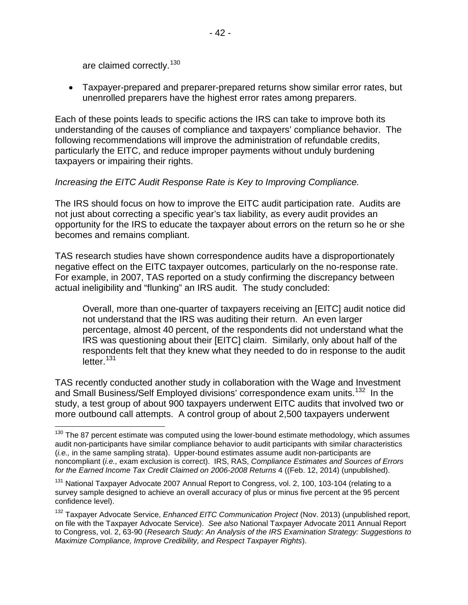are claimed correctly.<sup>[130](#page-43-0)</sup>

• Taxpayer-prepared and preparer-prepared returns show similar error rates, but unenrolled preparers have the highest error rates among preparers.

Each of these points leads to specific actions the IRS can take to improve both its understanding of the causes of compliance and taxpayers' compliance behavior. The following recommendations will improve the administration of refundable credits, particularly the EITC, and reduce improper payments without unduly burdening taxpayers or impairing their rights.

### *Increasing the EITC Audit Response Rate is Key to Improving Compliance.*

The IRS should focus on how to improve the EITC audit participation rate. Audits are not just about correcting a specific year's tax liability, as every audit provides an opportunity for the IRS to educate the taxpayer about errors on the return so he or she becomes and remains compliant.

TAS research studies have shown correspondence audits have a disproportionately negative effect on the EITC taxpayer outcomes, particularly on the no-response rate. For example, in 2007, TAS reported on a study confirming the discrepancy between actual ineligibility and "flunking" an IRS audit. The study concluded:

Overall, more than one-quarter of taxpayers receiving an [EITC] audit notice did not understand that the IRS was auditing their return. An even larger percentage, almost 40 percent, of the respondents did not understand what the IRS was questioning about their [EITC] claim. Similarly, only about half of the respondents felt that they knew what they needed to do in response to the audit  $letter<sup>131</sup>$  $letter<sup>131</sup>$  $letter<sup>131</sup>$ 

TAS recently conducted another study in collaboration with the Wage and Investment and Small Business/Self Employed divisions' correspondence exam units.<sup>[132](#page-43-2)</sup> In the study, a test group of about 900 taxpayers underwent EITC audits that involved two or more outbound call attempts. A control group of about 2,500 taxpayers underwent

<span id="page-43-0"></span> $130$  The 87 percent estimate was computed using the lower-bound estimate methodology, which assumes audit non-participants have similar compliance behavior to audit participants with similar characteristics (*i.e.,* in the same sampling strata). Upper-bound estimates assume audit non-participants are noncompliant (*i.e.,* exam exclusion is correct). IRS, RAS, *Compliance Estimates and Sources of Errors for the Earned Income Tax Credit Claimed on 2006-2008 Returns* 4 ((Feb. 12, 2014) (unpublished).

<span id="page-43-1"></span><sup>&</sup>lt;sup>131</sup> National Taxpayer Advocate 2007 Annual Report to Congress, vol. 2, 100, 103-104 (relating to a survey sample designed to achieve an overall accuracy of plus or minus five percent at the 95 percent confidence level).

<span id="page-43-2"></span><sup>132</sup> Taxpayer Advocate Service, *Enhanced EITC Communication Project* (Nov. 2013) (unpublished report, on file with the Taxpayer Advocate Service). *See also* National Taxpayer Advocate 2011 Annual Report to Congress, vol. 2, 63-90 (*Research Study: An Analysis of the IRS Examination Strategy: Suggestions to Maximize Compliance, Improve Credibility, and Respect Taxpayer Rights*).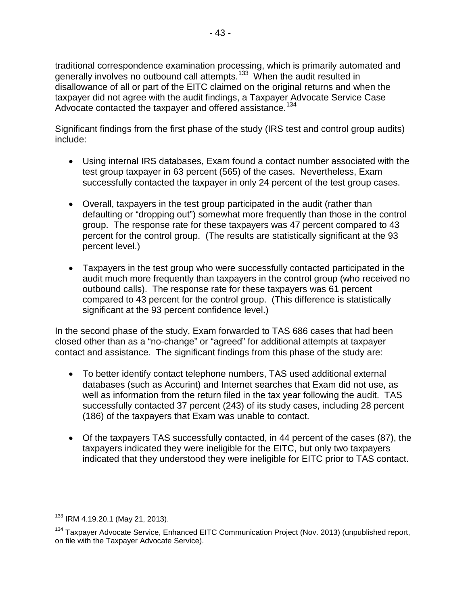traditional correspondence examination processing, which is primarily automated and generally involves no outbound call attempts.<sup>[133](#page-44-0)</sup> When the audit resulted in disallowance of all or part of the EITC claimed on the original returns and when the taxpayer did not agree with the audit findings, a Taxpayer Advocate Service Case Advocate contacted the taxpayer and offered assistance.<sup>[134](#page-44-1)</sup>

Significant findings from the first phase of the study (IRS test and control group audits) include:

- Using internal IRS databases, Exam found a contact number associated with the test group taxpayer in 63 percent (565) of the cases. Nevertheless, Exam successfully contacted the taxpayer in only 24 percent of the test group cases.
- Overall, taxpayers in the test group participated in the audit (rather than defaulting or "dropping out") somewhat more frequently than those in the control group. The response rate for these taxpayers was 47 percent compared to 43 percent for the control group. (The results are statistically significant at the 93 percent level.)
- Taxpayers in the test group who were successfully contacted participated in the audit much more frequently than taxpayers in the control group (who received no outbound calls). The response rate for these taxpayers was 61 percent compared to 43 percent for the control group. (This difference is statistically significant at the 93 percent confidence level.)

In the second phase of the study, Exam forwarded to TAS 686 cases that had been closed other than as a "no-change" or "agreed" for additional attempts at taxpayer contact and assistance. The significant findings from this phase of the study are:

- To better identify contact telephone numbers, TAS used additional external databases (such as Accurint) and Internet searches that Exam did not use, as well as information from the return filed in the tax year following the audit. TAS successfully contacted 37 percent (243) of its study cases, including 28 percent (186) of the taxpayers that Exam was unable to contact.
- Of the taxpayers TAS successfully contacted, in 44 percent of the cases (87), the taxpayers indicated they were ineligible for the EITC, but only two taxpayers indicated that they understood they were ineligible for EITC prior to TAS contact.

<span id="page-44-0"></span><sup>133</sup> IRM 4.19.20.1 (May 21, 2013).

<span id="page-44-1"></span><sup>&</sup>lt;sup>134</sup> Taxpayer Advocate Service, Enhanced EITC Communication Project (Nov. 2013) (unpublished report, on file with the Taxpayer Advocate Service).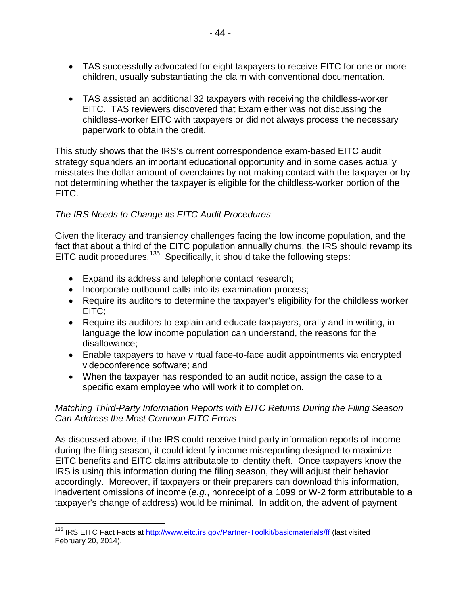- TAS successfully advocated for eight taxpayers to receive EITC for one or more children, usually substantiating the claim with conventional documentation.
- TAS assisted an additional 32 taxpayers with receiving the childless-worker EITC. TAS reviewers discovered that Exam either was not discussing the childless-worker EITC with taxpayers or did not always process the necessary paperwork to obtain the credit.

This study shows that the IRS's current correspondence exam-based EITC audit strategy squanders an important educational opportunity and in some cases actually misstates the dollar amount of overclaims by not making contact with the taxpayer or by not determining whether the taxpayer is eligible for the childless-worker portion of the EITC.

# *The IRS Needs to Change its EITC Audit Procedures*

Given the literacy and transiency challenges facing the low income population, and the fact that about a third of the EITC population annually churns, the IRS should revamp its EITC audit procedures.<sup>[135](#page-45-0)</sup> Specifically, it should take the following steps:

- Expand its address and telephone contact research;
- Incorporate outbound calls into its examination process;
- Require its auditors to determine the taxpayer's eligibility for the childless worker EITC;
- Require its auditors to explain and educate taxpayers, orally and in writing, in language the low income population can understand, the reasons for the disallowance;
- Enable taxpayers to have virtual face-to-face audit appointments via encrypted videoconference software; and
- When the taxpayer has responded to an audit notice, assign the case to a specific exam employee who will work it to completion.

## *Matching Third-Party Information Reports with EITC Returns During the Filing Season Can Address the Most Common EITC Errors*

As discussed above, if the IRS could receive third party information reports of income during the filing season, it could identify income misreporting designed to maximize EITC benefits and EITC claims attributable to identity theft. Once taxpayers know the IRS is using this information during the filing season, they will adjust their behavior accordingly. Moreover, if taxpayers or their preparers can download this information, inadvertent omissions of income (*e.g*., nonreceipt of a 1099 or W-2 form attributable to a taxpayer's change of address) would be minimal. In addition, the advent of payment

<span id="page-45-0"></span><sup>&</sup>lt;sup>135</sup> IRS EITC Fact Facts at<http://www.eitc.irs.gov/Partner-Toolkit/basicmaterials/ff> (last visited February 20, 2014).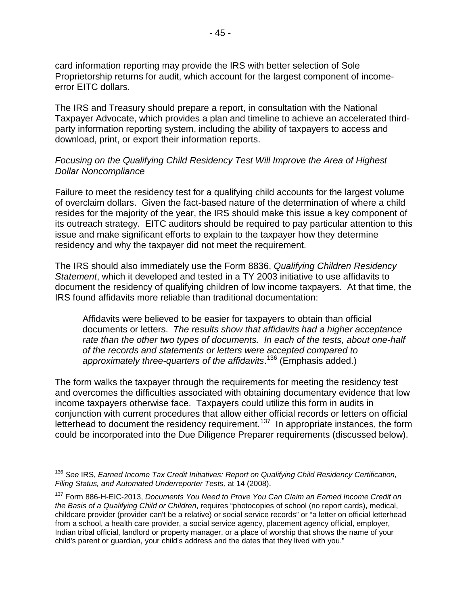card information reporting may provide the IRS with better selection of Sole Proprietorship returns for audit, which account for the largest component of incomeerror EITC dollars.

The IRS and Treasury should prepare a report, in consultation with the National Taxpayer Advocate, which provides a plan and timeline to achieve an accelerated thirdparty information reporting system, including the ability of taxpayers to access and download, print, or export their information reports.

### *Focusing on the Qualifying Child Residency Test Will Improve the Area of Highest Dollar Noncompliance*

Failure to meet the residency test for a qualifying child accounts for the largest volume of overclaim dollars. Given the fact-based nature of the determination of where a child resides for the majority of the year, the IRS should make this issue a key component of its outreach strategy. EITC auditors should be required to pay particular attention to this issue and make significant efforts to explain to the taxpayer how they determine residency and why the taxpayer did not meet the requirement.

The IRS should also immediately use the Form 8836, *Qualifying Children Residency Statement*, which it developed and tested in a TY 2003 initiative to use affidavits to document the residency of qualifying children of low income taxpayers. At that time, the IRS found affidavits more reliable than traditional documentation:

Affidavits were believed to be easier for taxpayers to obtain than official documents or letters. *The results show that affidavits had a higher acceptance rate than the other two types of documents. In each of the tests, about one-half of the records and statements or letters were accepted compared to approximately three-quarters of the affidavits*. [136](#page-46-0) (Emphasis added.)

The form walks the taxpayer through the requirements for meeting the residency test and overcomes the difficulties associated with obtaining documentary evidence that low income taxpayers otherwise face. Taxpayers could utilize this form in audits in conjunction with current procedures that allow either official records or letters on official letterhead to document the residency requirement.<sup>[137](#page-46-1)</sup> In appropriate instances, the form could be incorporated into the Due Diligence Preparer requirements (discussed below).

<span id="page-46-0"></span><sup>136</sup> *See* IRS, *Earned Income Tax Credit Initiatives: Report on Qualifying Child Residency Certification, Filing Status, and Automated Underreporter Tests,* at 14 (2008).

<span id="page-46-1"></span><sup>137</sup> Form 886-H-EIC-2013, *Documents You Need to Prove You Can Claim an Earned Income Credit on the Basis of a Qualifying Child or Children*, requires "photocopies of school (no report cards), medical, childcare provider (provider can't be a relative) or social service records" or "a letter on official letterhead from a school, a health care provider, a social service agency, placement agency official, employer, Indian tribal official, landlord or property manager, or a place of worship that shows the name of your child's parent or guardian, your child's address and the dates that they lived with you."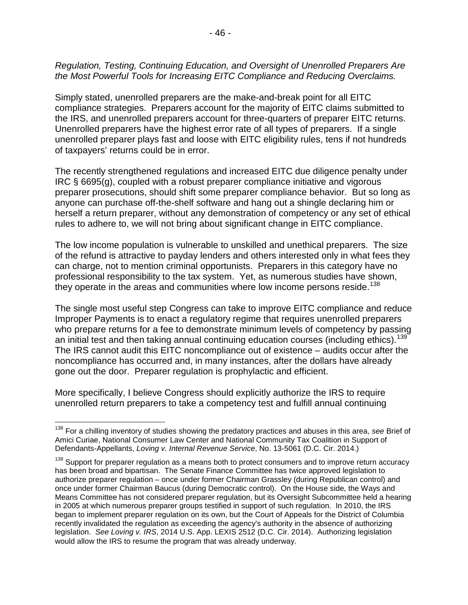### *Regulation, Testing, Continuing Education, and Oversight of Unenrolled Preparers Are the Most Powerful Tools for Increasing EITC Compliance and Reducing Overclaims.*

Simply stated, unenrolled preparers are the make-and-break point for all EITC compliance strategies. Preparers account for the majority of EITC claims submitted to the IRS, and unenrolled preparers account for three-quarters of preparer EITC returns. Unenrolled preparers have the highest error rate of all types of preparers. If a single unenrolled preparer plays fast and loose with EITC eligibility rules, tens if not hundreds of taxpayers' returns could be in error.

The recently strengthened regulations and increased EITC due diligence penalty under IRC § 6695(g), coupled with a robust preparer compliance initiative and vigorous preparer prosecutions, should shift some preparer compliance behavior. But so long as anyone can purchase off-the-shelf software and hang out a shingle declaring him or herself a return preparer, without any demonstration of competency or any set of ethical rules to adhere to, we will not bring about significant change in EITC compliance.

The low income population is vulnerable to unskilled and unethical preparers. The size of the refund is attractive to payday lenders and others interested only in what fees they can charge, not to mention criminal opportunists. Preparers in this category have no professional responsibility to the tax system. Yet, as numerous studies have shown, they operate in the areas and communities where low income persons reside.<sup>[138](#page-47-0)</sup>

The single most useful step Congress can take to improve EITC compliance and reduce Improper Payments is to enact a regulatory regime that requires unenrolled preparers who prepare returns for a fee to demonstrate minimum levels of competency by passing an initial test and then taking annual continuing education courses (including ethics).<sup>139</sup> The IRS cannot audit this EITC noncompliance out of existence – audits occur after the noncompliance has occurred and, in many instances, after the dollars have already gone out the door. Preparer regulation is prophylactic and efficient.

More specifically, I believe Congress should explicitly authorize the IRS to require unenrolled return preparers to take a competency test and fulfill annual continuing

<span id="page-47-0"></span><sup>138</sup> For a chilling inventory of studies showing the predatory practices and abuses in this area, *see* Brief of Amici Curiae, National Consumer Law Center and National Community Tax Coalition in Support of Defendants-Appellants, *Loving v. Internal Revenue Service*, No. 13-5061 (D.C. Cir. 2014.)

<span id="page-47-1"></span><sup>&</sup>lt;sup>139</sup> Support for preparer regulation as a means both to protect consumers and to improve return accuracy has been broad and bipartisan. The Senate Finance Committee has twice approved legislation to authorize preparer regulation – once under former Chairman Grassley (during Republican control) and once under former Chairman Baucus (during Democratic control). On the House side, the Ways and Means Committee has not considered preparer regulation, but its Oversight Subcommittee held a hearing in 2005 at which numerous preparer groups testified in support of such regulation. In 2010, the IRS began to implement preparer regulation on its own, but the Court of Appeals for the District of Columbia recently invalidated the regulation as exceeding the agency's authority in the absence of authorizing legislation. *See Loving v. IRS*, 2014 U.S. App. LEXIS 2512 (D.C. Cir. 2014). Authorizing legislation would allow the IRS to resume the program that was already underway.